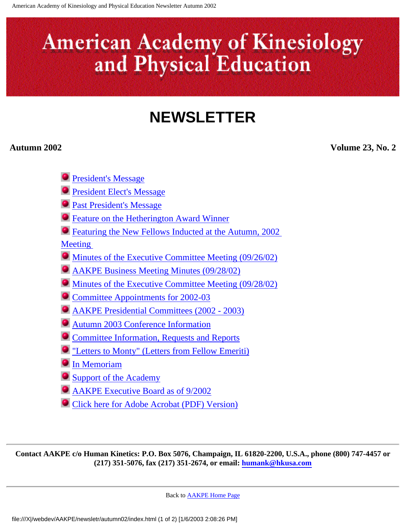# <span id="page-0-0"></span>**American Academy of Kinesiology** and Physical Education

## **NEWSLETTER**

**Autumn 2002 Volume 23, No. 2**

- **[President's Message](#page-1-0)**
- **[President Elect's Message](#page-3-0)**
- **[Past President's Message](#page-5-0)**
- **[Feature on the Hetherington Award Winner](#page-6-0)**
- [Featuring the New Fellows Inducted at the Autumn, 2002](#page-8-0)

[Meeting](#page-8-0)

- [Minutes of the Executive Committee Meeting \(09/26/02\)](#page-18-0)
- [AAKPE Business Meeting Minutes \(09/28/02\)](#page-23-0)
- [Minutes of the Executive Committee Meeting \(09/28/02\)](#page-30-0)
- [Committee Appointments for 2002-03](#page-34-0)
- [AAKPE Presidential Committees \(2002 2003\)](#page-36-0)
- [Autumn 2003 Conference Information](#page-37-0)
- **[Committee Information, Requests and Reports](#page-40-0)**
- ["Letters to Monty" \(Letters from Fellow Emeriti\)](#page-45-0)
- **[In Memoriam](#page-48-0)**
- **[Support of the Academy](#page-53-0)**
- [AAKPE Executive Board as of 9/2002](#page-54-0)
- [Click here for Adobe Acrobat \(PDF\) Version\)](file:///X|/webdev/AAKPE/newsletr/autumn02/Autumn_2002_Newsletter.pdf)

**Contact AAKPE c/o Human Kinetics: P.O. Box 5076, Champaign, IL 61820-2200, U.S.A., phone (800) 747-4457 or (217) 351-5076, fax (217) 351-2674, or email: [humank@hkusa.com](mailto:humank@hkusa.com)**

Back to [AAKPE Home Page](file:///X|/webdev/AAKPE/index.html)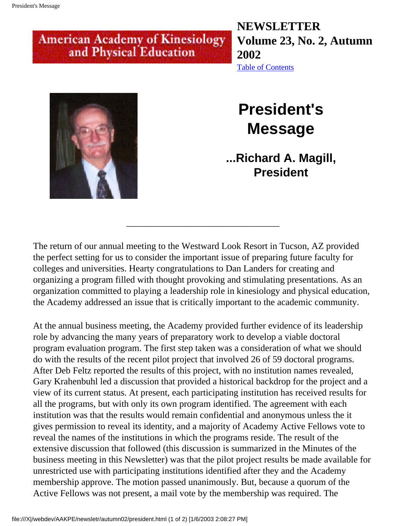## <span id="page-1-0"></span>**American Academy of Kinesiology** and Physical Education

**NEWSLETTER Volume 23, No. 2, Autumn 2002** [Table of Contents](#page-0-0)



## **President's Message**

**...Richard A. Magill, President** 

The return of our annual meeting to the Westward Look Resort in Tucson, AZ provided the perfect setting for us to consider the important issue of preparing future faculty for colleges and universities. Hearty congratulations to Dan Landers for creating and organizing a program filled with thought provoking and stimulating presentations. As an organization committed to playing a leadership role in kinesiology and physical education, the Academy addressed an issue that is critically important to the academic community.

\_\_\_\_\_\_\_\_\_\_\_\_\_\_\_\_\_\_\_\_\_\_\_\_\_\_\_\_\_\_\_\_\_

At the annual business meeting, the Academy provided further evidence of its leadership role by advancing the many years of preparatory work to develop a viable doctoral program evaluation program. The first step taken was a consideration of what we should do with the results of the recent pilot project that involved 26 of 59 doctoral programs. After Deb Feltz reported the results of this project, with no institution names revealed, Gary Krahenbuhl led a discussion that provided a historical backdrop for the project and a view of its current status. At present, each participating institution has received results for all the programs, but with only its own program identified. The agreement with each institution was that the results would remain confidential and anonymous unless the it gives permission to reveal its identity, and a majority of Academy Active Fellows vote to reveal the names of the institutions in which the programs reside. The result of the extensive discussion that followed (this discussion is summarized in the Minutes of the business meeting in this Newsletter) was that the pilot project results be made available for unrestricted use with participating institutions identified after they and the Academy membership approve. The motion passed unanimously. But, because a quorum of the Active Fellows was not present, a mail vote by the membership was required. The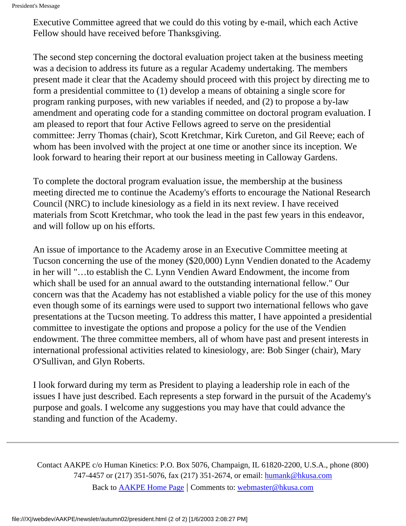Executive Committee agreed that we could do this voting by e-mail, which each Active Fellow should have received before Thanksgiving.

The second step concerning the doctoral evaluation project taken at the business meeting was a decision to address its future as a regular Academy undertaking. The members present made it clear that the Academy should proceed with this project by directing me to form a presidential committee to (1) develop a means of obtaining a single score for program ranking purposes, with new variables if needed, and (2) to propose a by-law amendment and operating code for a standing committee on doctoral program evaluation. I am pleased to report that four Active Fellows agreed to serve on the presidential committee: Jerry Thomas (chair), Scott Kretchmar, Kirk Cureton, and Gil Reeve; each of whom has been involved with the project at one time or another since its inception. We look forward to hearing their report at our business meeting in Calloway Gardens.

To complete the doctoral program evaluation issue, the membership at the business meeting directed me to continue the Academy's efforts to encourage the National Research Council (NRC) to include kinesiology as a field in its next review. I have received materials from Scott Kretchmar, who took the lead in the past few years in this endeavor, and will follow up on his efforts.

An issue of importance to the Academy arose in an Executive Committee meeting at Tucson concerning the use of the money (\$20,000) Lynn Vendien donated to the Academy in her will "…to establish the C. Lynn Vendien Award Endowment, the income from which shall be used for an annual award to the outstanding international fellow." Our concern was that the Academy has not established a viable policy for the use of this money even though some of its earnings were used to support two international fellows who gave presentations at the Tucson meeting. To address this matter, I have appointed a presidential committee to investigate the options and propose a policy for the use of the Vendien endowment. The three committee members, all of whom have past and present interests in international professional activities related to kinesiology, are: Bob Singer (chair), Mary O'Sullivan, and Glyn Roberts.

I look forward during my term as President to playing a leadership role in each of the issues I have just described. Each represents a step forward in the pursuit of the Academy's purpose and goals. I welcome any suggestions you may have that could advance the standing and function of the Academy.

Contact AAKPE c/o Human Kinetics: P.O. Box 5076, Champaign, IL 61820-2200, U.S.A., phone (800) 747-4457 or (217) 351-5076, fax (217) 351-2674, or email: [humank@hkusa.com](mailto:humank@hkusa.com) Back to [AAKPE Home Page](file:///X|/webdev/AAKPE/index.html) | Comments to: [webmaster@hkusa.com](mailto:webmaster@hkusa.com)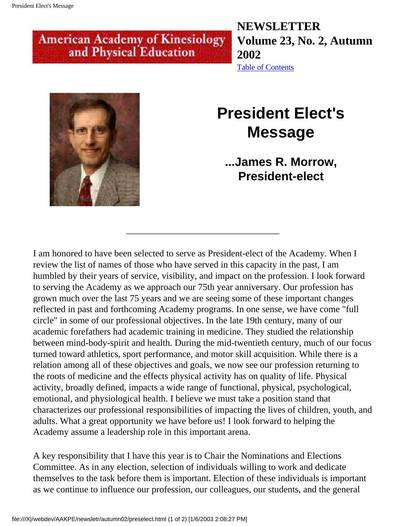## <span id="page-3-0"></span>**American Academy of Kinesiology** and Physical Education

**NEWSLETTER Volume 23, No. 2, Autumn 2002** [Table of Contents](#page-0-0)



## **President Elect's Message**

### **...James R. Morrow, President-elect**

I am honored to have been selected to serve as President-elect of the Academy. When I review the list of names of those who have served in this capacity in the past, I am humbled by their years of service, visibility, and impact on the profession. I look forward to serving the Academy as we approach our 75th year anniversary. Our profession has grown much over the last 75 years and we are seeing some of these important changes reflected in past and forthcoming Academy programs. In one sense, we have come "full circle" in some of our professional objectives. In the late 19th century, many of our academic forefathers had academic training in medicine. They studied the relationship between mind-body-spirit and health. During the mid-twentieth century, much of our focus turned toward athletics, sport performance, and motor skill acquisition. While there is a relation among all of these objectives and goals, we now see our profession returning to the roots of medicine and the effects physical activity has on quality of life. Physical activity, broadly defined, impacts a wide range of functional, physical, psychological, emotional, and physiological health. I believe we must take a position stand that characterizes our professional responsibilities of impacting the lives of children, youth, and adults. What a great opportunity we have before us! I look forward to helping the Academy assume a leadership role in this important arena.

\_\_\_\_\_\_\_\_\_\_\_\_\_\_\_\_\_\_\_\_\_\_\_\_\_\_\_\_\_\_\_\_\_

A key responsibility that I have this year is to Chair the Nominations and Elections Committee. As in any election, selection of individuals willing to work and dedicate themselves to the task before them is important. Election of these individuals is important as we continue to influence our profession, our colleagues, our students, and the general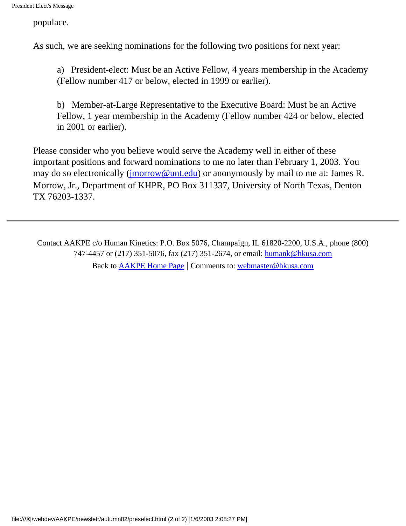populace.

As such, we are seeking nominations for the following two positions for next year:

a) President-elect: Must be an Active Fellow, 4 years membership in the Academy (Fellow number 417 or below, elected in 1999 or earlier).

b) Member-at-Large Representative to the Executive Board: Must be an Active Fellow, 1 year membership in the Academy (Fellow number 424 or below, elected in 2001 or earlier).

Please consider who you believe would serve the Academy well in either of these important positions and forward nominations to me no later than February 1, 2003. You may do so electronically [\(jmorrow@unt.edu](mailto:jmorrow@unt.edu)) or anonymously by mail to me at: James R. Morrow, Jr., Department of KHPR, PO Box 311337, University of North Texas, Denton TX 76203-1337.

Contact AAKPE c/o Human Kinetics: P.O. Box 5076, Champaign, IL 61820-2200, U.S.A., phone (800) 747-4457 or (217) 351-5076, fax (217) 351-2674, or email: [humank@hkusa.com](mailto:humank@hkusa.com) Back to [AAKPE Home Page](file:///X|/webdev/AAKPE/index.html) | Comments to: [webmaster@hkusa.com](mailto:webmaster@hkusa.com)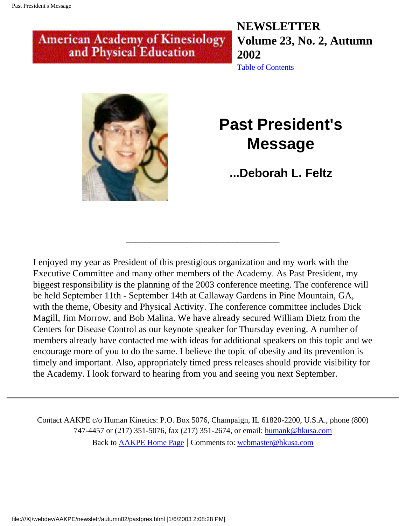## <span id="page-5-0"></span>**American Academy of Kinesiology** and Physical Education

**NEWSLETTER Volume 23, No. 2, Autumn 2002** [Table of Contents](#page-0-0)



## **Past President's Message**

**...Deborah L. Feltz** 

I enjoyed my year as President of this prestigious organization and my work with the Executive Committee and many other members of the Academy. As Past President, my biggest responsibility is the planning of the 2003 conference meeting. The conference will be held September 11th - September 14th at Callaway Gardens in Pine Mountain, GA, with the theme, Obesity and Physical Activity. The conference committee includes Dick Magill, Jim Morrow, and Bob Malina. We have already secured William Dietz from the Centers for Disease Control as our keynote speaker for Thursday evening. A number of members already have contacted me with ideas for additional speakers on this topic and we encourage more of you to do the same. I believe the topic of obesity and its prevention is timely and important. Also, appropriately timed press releases should provide visibility for the Academy. I look forward to hearing from you and seeing you next September.

\_\_\_\_\_\_\_\_\_\_\_\_\_\_\_\_\_\_\_\_\_\_\_\_\_\_\_\_\_\_\_\_\_

Contact AAKPE c/o Human Kinetics: P.O. Box 5076, Champaign, IL 61820-2200, U.S.A., phone (800) 747-4457 or (217) 351-5076, fax (217) 351-2674, or email: [humank@hkusa.com](mailto:humank@hkusa.com) Back to [AAKPE Home Page](file:///X|/webdev/AAKPE/index.html) | Comments to: [webmaster@hkusa.com](mailto:webmaster@hkusa.com)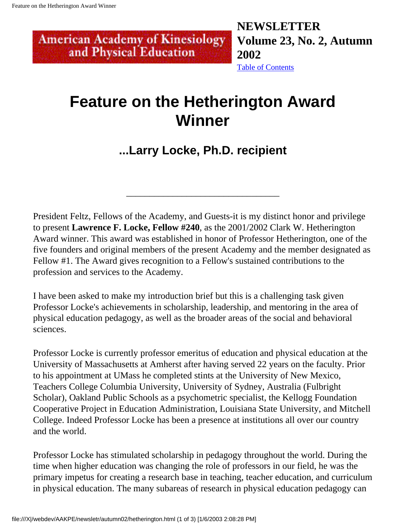<span id="page-6-0"></span>**American Academy of Kinesiology** and Physical Education

**NEWSLETTER Volume 23, No. 2, Autumn 2002** [Table of Contents](#page-0-0)

## **Feature on the Hetherington Award Winner**

## **...Larry Locke, Ph.D. recipient**

\_\_\_\_\_\_\_\_\_\_\_\_\_\_\_\_\_\_\_\_\_\_\_\_\_\_\_\_\_\_\_\_\_

President Feltz, Fellows of the Academy, and Guests-it is my distinct honor and privilege to present **Lawrence F. Locke, Fellow #240**, as the 2001/2002 Clark W. Hetherington Award winner. This award was established in honor of Professor Hetherington, one of the five founders and original members of the present Academy and the member designated as Fellow #1. The Award gives recognition to a Fellow's sustained contributions to the profession and services to the Academy.

I have been asked to make my introduction brief but this is a challenging task given Professor Locke's achievements in scholarship, leadership, and mentoring in the area of physical education pedagogy, as well as the broader areas of the social and behavioral sciences.

Professor Locke is currently professor emeritus of education and physical education at the University of Massachusetts at Amherst after having served 22 years on the faculty. Prior to his appointment at UMass he completed stints at the University of New Mexico, Teachers College Columbia University, University of Sydney, Australia (Fulbright Scholar), Oakland Public Schools as a psychometric specialist, the Kellogg Foundation Cooperative Project in Education Administration, Louisiana State University, and Mitchell College. Indeed Professor Locke has been a presence at institutions all over our country and the world.

Professor Locke has stimulated scholarship in pedagogy throughout the world. During the time when higher education was changing the role of professors in our field, he was the primary impetus for creating a research base in teaching, teacher education, and curriculum in physical education. The many subareas of research in physical education pedagogy can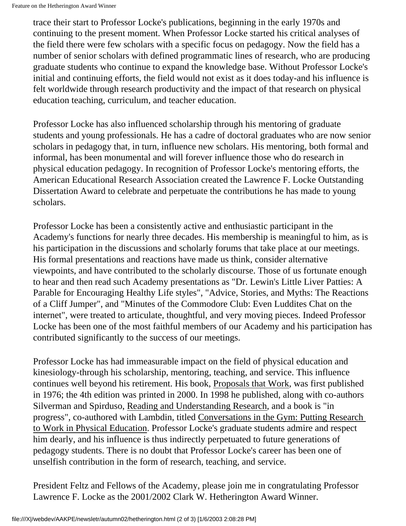trace their start to Professor Locke's publications, beginning in the early 1970s and continuing to the present moment. When Professor Locke started his critical analyses of the field there were few scholars with a specific focus on pedagogy. Now the field has a number of senior scholars with defined programmatic lines of research, who are producing graduate students who continue to expand the knowledge base. Without Professor Locke's initial and continuing efforts, the field would not exist as it does today-and his influence is felt worldwide through research productivity and the impact of that research on physical education teaching, curriculum, and teacher education.

Professor Locke has also influenced scholarship through his mentoring of graduate students and young professionals. He has a cadre of doctoral graduates who are now senior scholars in pedagogy that, in turn, influence new scholars. His mentoring, both formal and informal, has been monumental and will forever influence those who do research in physical education pedagogy. In recognition of Professor Locke's mentoring efforts, the American Educational Research Association created the Lawrence F. Locke Outstanding Dissertation Award to celebrate and perpetuate the contributions he has made to young scholars.

Professor Locke has been a consistently active and enthusiastic participant in the Academy's functions for nearly three decades. His membership is meaningful to him, as is his participation in the discussions and scholarly forums that take place at our meetings. His formal presentations and reactions have made us think, consider alternative viewpoints, and have contributed to the scholarly discourse. Those of us fortunate enough to hear and then read such Academy presentations as "Dr. Lewin's Little Liver Patties: A Parable for Encouraging Healthy Life styles", "Advice, Stories, and Myths: The Reactions of a Cliff Jumper", and "Minutes of the Commodore Club: Even Luddites Chat on the internet", were treated to articulate, thoughtful, and very moving pieces. Indeed Professor Locke has been one of the most faithful members of our Academy and his participation has contributed significantly to the success of our meetings.

Professor Locke has had immeasurable impact on the field of physical education and kinesiology-through his scholarship, mentoring, teaching, and service. This influence continues well beyond his retirement. His book, Proposals that Work, was first published in 1976; the 4th edition was printed in 2000. In 1998 he published, along with co-authors Silverman and Spirduso, Reading and Understanding Research, and a book is "in progress", co-authored with Lambdin, titled Conversations in the Gym: Putting Research to Work in Physical Education. Professor Locke's graduate students admire and respect him dearly, and his influence is thus indirectly perpetuated to future generations of pedagogy students. There is no doubt that Professor Locke's career has been one of unselfish contribution in the form of research, teaching, and service.

President Feltz and Fellows of the Academy, please join me in congratulating Professor Lawrence F. Locke as the 2001/2002 Clark W. Hetherington Award Winner.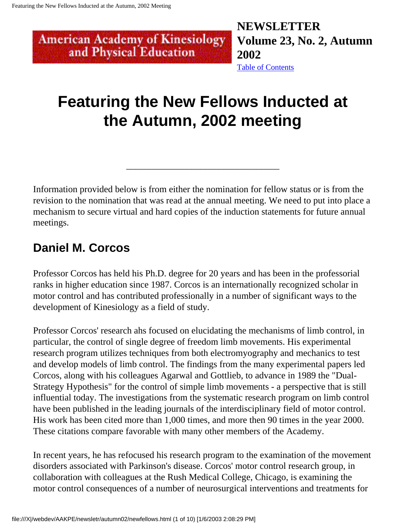and Physical Education

<span id="page-8-0"></span>**NEWSLETTER American Academy of Kinesiology Volume 23, No. 2, Autumn 2002** [Table of Contents](#page-0-0)

## **Featuring the New Fellows Inducted at the Autumn, 2002 meeting**

Information provided below is from either the nomination for fellow status or is from the revision to the nomination that was read at the annual meeting. We need to put into place a mechanism to secure virtual and hard copies of the induction statements for future annual meetings.

\_\_\_\_\_\_\_\_\_\_\_\_\_\_\_\_\_\_\_\_\_\_\_\_\_\_\_\_\_\_\_\_\_

## **Daniel M. Corcos**

Professor Corcos has held his Ph.D. degree for 20 years and has been in the professorial ranks in higher education since 1987. Corcos is an internationally recognized scholar in motor control and has contributed professionally in a number of significant ways to the development of Kinesiology as a field of study.

Professor Corcos' research ahs focused on elucidating the mechanisms of limb control, in particular, the control of single degree of freedom limb movements. His experimental research program utilizes techniques from both electromyography and mechanics to test and develop models of limb control. The findings from the many experimental papers led Corcos, along with his colleagues Agarwal and Gottlieb, to advance in 1989 the "Dual-Strategy Hypothesis" for the control of simple limb movements - a perspective that is still influential today. The investigations from the systematic research program on limb control have been published in the leading journals of the interdisciplinary field of motor control. His work has been cited more than 1,000 times, and more then 90 times in the year 2000. These citations compare favorable with many other members of the Academy.

In recent years, he has refocused his research program to the examination of the movement disorders associated with Parkinson's disease. Corcos' motor control research group, in collaboration with colleagues at the Rush Medical College, Chicago, is examining the motor control consequences of a number of neurosurgical interventions and treatments for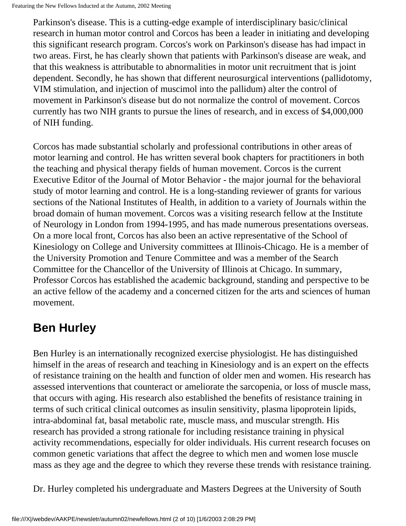Parkinson's disease. This is a cutting-edge example of interdisciplinary basic/clinical research in human motor control and Corcos has been a leader in initiating and developing this significant research program. Corcos's work on Parkinson's disease has had impact in two areas. First, he has clearly shown that patients with Parkinson's disease are weak, and that this weakness is attributable to abnormalities in motor unit recruitment that is joint dependent. Secondly, he has shown that different neurosurgical interventions (pallidotomy, VIM stimulation, and injection of muscimol into the pallidum) alter the control of movement in Parkinson's disease but do not normalize the control of movement. Corcos currently has two NIH grants to pursue the lines of research, and in excess of \$4,000,000 of NIH funding.

Corcos has made substantial scholarly and professional contributions in other areas of motor learning and control. He has written several book chapters for practitioners in both the teaching and physical therapy fields of human movement. Corcos is the current Executive Editor of the Journal of Motor Behavior - the major journal for the behavioral study of motor learning and control. He is a long-standing reviewer of grants for various sections of the National Institutes of Health, in addition to a variety of Journals within the broad domain of human movement. Corcos was a visiting research fellow at the Institute of Neurology in London from 1994-1995, and has made numerous presentations overseas. On a more local front, Corcos has also been an active representative of the School of Kinesiology on College and University committees at Illinois-Chicago. He is a member of the University Promotion and Tenure Committee and was a member of the Search Committee for the Chancellor of the University of Illinois at Chicago. In summary, Professor Corcos has established the academic background, standing and perspective to be an active fellow of the academy and a concerned citizen for the arts and sciences of human movement.

## **Ben Hurley**

Ben Hurley is an internationally recognized exercise physiologist. He has distinguished himself in the areas of research and teaching in Kinesiology and is an expert on the effects of resistance training on the health and function of older men and women. His research has assessed interventions that counteract or ameliorate the sarcopenia, or loss of muscle mass, that occurs with aging. His research also established the benefits of resistance training in terms of such critical clinical outcomes as insulin sensitivity, plasma lipoprotein lipids, intra-abdominal fat, basal metabolic rate, muscle mass, and muscular strength. His research has provided a strong rationale for including resistance training in physical activity recommendations, especially for older individuals. His current research focuses on common genetic variations that affect the degree to which men and women lose muscle mass as they age and the degree to which they reverse these trends with resistance training.

Dr. Hurley completed his undergraduate and Masters Degrees at the University of South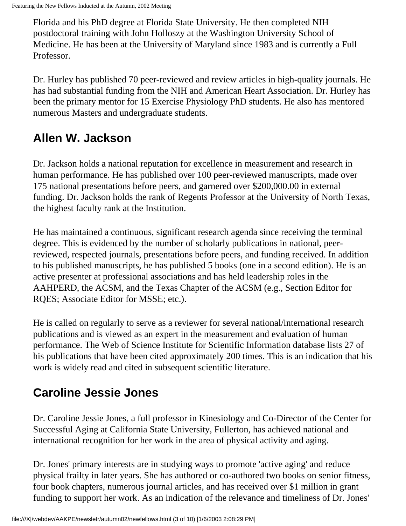Florida and his PhD degree at Florida State University. He then completed NIH postdoctoral training with John Holloszy at the Washington University School of Medicine. He has been at the University of Maryland since 1983 and is currently a Full Professor.

Dr. Hurley has published 70 peer-reviewed and review articles in high-quality journals. He has had substantial funding from the NIH and American Heart Association. Dr. Hurley has been the primary mentor for 15 Exercise Physiology PhD students. He also has mentored numerous Masters and undergraduate students.

## **Allen W. Jackson**

Dr. Jackson holds a national reputation for excellence in measurement and research in human performance. He has published over 100 peer-reviewed manuscripts, made over 175 national presentations before peers, and garnered over \$200,000.00 in external funding. Dr. Jackson holds the rank of Regents Professor at the University of North Texas, the highest faculty rank at the Institution.

He has maintained a continuous, significant research agenda since receiving the terminal degree. This is evidenced by the number of scholarly publications in national, peerreviewed, respected journals, presentations before peers, and funding received. In addition to his published manuscripts, he has published 5 books (one in a second edition). He is an active presenter at professional associations and has held leadership roles in the AAHPERD, the ACSM, and the Texas Chapter of the ACSM (e.g., Section Editor for RQES; Associate Editor for MSSE; etc.).

He is called on regularly to serve as a reviewer for several national/international research publications and is viewed as an expert in the measurement and evaluation of human performance. The Web of Science Institute for Scientific Information database lists 27 of his publications that have been cited approximately 200 times. This is an indication that his work is widely read and cited in subsequent scientific literature.

## **Caroline Jessie Jones**

Dr. Caroline Jessie Jones, a full professor in Kinesiology and Co-Director of the Center for Successful Aging at California State University, Fullerton, has achieved national and international recognition for her work in the area of physical activity and aging.

Dr. Jones' primary interests are in studying ways to promote 'active aging' and reduce physical frailty in later years. She has authored or co-authored two books on senior fitness, four book chapters, numerous journal articles, and has received over \$1 million in grant funding to support her work. As an indication of the relevance and timeliness of Dr. Jones'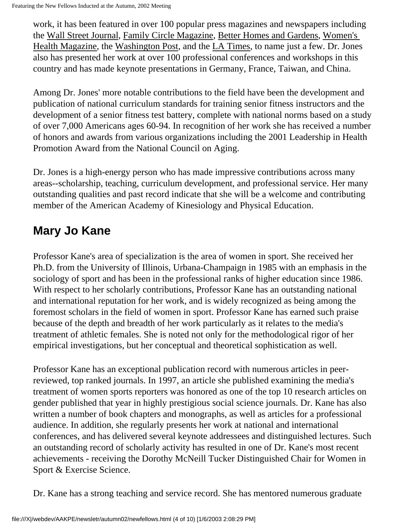work, it has been featured in over 100 popular press magazines and newspapers including the Wall Street Journal, Family Circle Magazine, Better Homes and Gardens, Women's Health Magazine, the Washington Post, and the LA Times, to name just a few. Dr. Jones also has presented her work at over 100 professional conferences and workshops in this country and has made keynote presentations in Germany, France, Taiwan, and China.

Among Dr. Jones' more notable contributions to the field have been the development and publication of national curriculum standards for training senior fitness instructors and the development of a senior fitness test battery, complete with national norms based on a study of over 7,000 Americans ages 60-94. In recognition of her work she has received a number of honors and awards from various organizations including the 2001 Leadership in Health Promotion Award from the National Council on Aging.

Dr. Jones is a high-energy person who has made impressive contributions across many areas--scholarship, teaching, curriculum development, and professional service. Her many outstanding qualities and past record indicate that she will be a welcome and contributing member of the American Academy of Kinesiology and Physical Education.

## **Mary Jo Kane**

Professor Kane's area of specialization is the area of women in sport. She received her Ph.D. from the University of Illinois, Urbana-Champaign in 1985 with an emphasis in the sociology of sport and has been in the professional ranks of higher education since 1986. With respect to her scholarly contributions, Professor Kane has an outstanding national and international reputation for her work, and is widely recognized as being among the foremost scholars in the field of women in sport. Professor Kane has earned such praise because of the depth and breadth of her work particularly as it relates to the media's treatment of athletic females. She is noted not only for the methodological rigor of her empirical investigations, but her conceptual and theoretical sophistication as well.

Professor Kane has an exceptional publication record with numerous articles in peerreviewed, top ranked journals. In 1997, an article she published examining the media's treatment of women sports reporters was honored as one of the top 10 research articles on gender published that year in highly prestigious social science journals. Dr. Kane has also written a number of book chapters and monographs, as well as articles for a professional audience. In addition, she regularly presents her work at national and international conferences, and has delivered several keynote addressees and distinguished lectures. Such an outstanding record of scholarly activity has resulted in one of Dr. Kane's most recent achievements - receiving the Dorothy McNeill Tucker Distinguished Chair for Women in Sport & Exercise Science.

Dr. Kane has a strong teaching and service record. She has mentored numerous graduate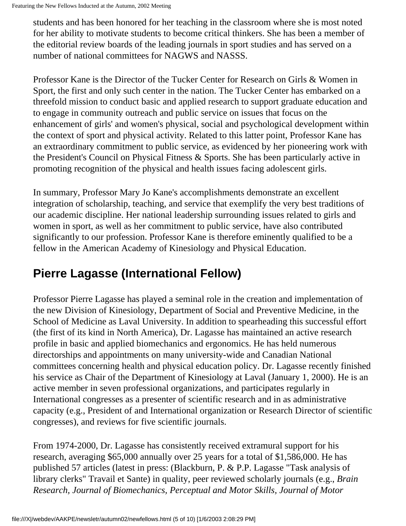```
Featuring the New Fellows Inducted at the Autumn, 2002 Meeting
```
students and has been honored for her teaching in the classroom where she is most noted for her ability to motivate students to become critical thinkers. She has been a member of the editorial review boards of the leading journals in sport studies and has served on a number of national committees for NAGWS and NASSS.

Professor Kane is the Director of the Tucker Center for Research on Girls & Women in Sport, the first and only such center in the nation. The Tucker Center has embarked on a threefold mission to conduct basic and applied research to support graduate education and to engage in community outreach and public service on issues that focus on the enhancement of girls' and women's physical, social and psychological development within the context of sport and physical activity. Related to this latter point, Professor Kane has an extraordinary commitment to public service, as evidenced by her pioneering work with the President's Council on Physical Fitness & Sports. She has been particularly active in promoting recognition of the physical and health issues facing adolescent girls.

In summary, Professor Mary Jo Kane's accomplishments demonstrate an excellent integration of scholarship, teaching, and service that exemplify the very best traditions of our academic discipline. Her national leadership surrounding issues related to girls and women in sport, as well as her commitment to public service, have also contributed significantly to our profession. Professor Kane is therefore eminently qualified to be a fellow in the American Academy of Kinesiology and Physical Education.

## **Pierre Lagasse (International Fellow)**

Professor Pierre Lagasse has played a seminal role in the creation and implementation of the new Division of Kinesiology, Department of Social and Preventive Medicine, in the School of Medicine as Laval University. In addition to spearheading this successful effort (the first of its kind in North America), Dr. Lagasse has maintained an active research profile in basic and applied biomechanics and ergonomics. He has held numerous directorships and appointments on many university-wide and Canadian National committees concerning health and physical education policy. Dr. Lagasse recently finished his service as Chair of the Department of Kinesiology at Laval (January 1, 2000). He is an active member in seven professional organizations, and participates regularly in International congresses as a presenter of scientific research and in as administrative capacity (e.g., President of and International organization or Research Director of scientific congresses), and reviews for five scientific journals.

From 1974-2000, Dr. Lagasse has consistently received extramural support for his research, averaging \$65,000 annually over 25 years for a total of \$1,586,000. He has published 57 articles (latest in press: (Blackburn, P. & P.P. Lagasse "Task analysis of library clerks" Travail et Sante) in quality, peer reviewed scholarly journals (e.g., *Brain Research, Journal of Biomechanics, Perceptual and Motor Skills, Journal of Motor*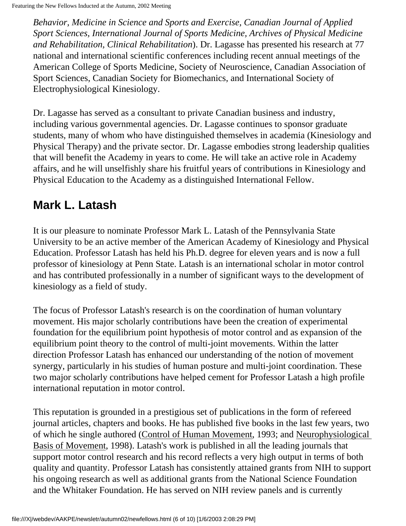Featuring the New Fellows Inducted at the Autumn, 2002 Meeting

*Behavior, Medicine in Science and Sports and Exercise, Canadian Journal of Applied Sport Sciences, International Journal of Sports Medicine, Archives of Physical Medicine and Rehabilitation, Clinical Rehabilitation*). Dr. Lagasse has presented his research at 77 national and international scientific conferences including recent annual meetings of the American College of Sports Medicine, Society of Neuroscience, Canadian Association of Sport Sciences, Canadian Society for Biomechanics, and International Society of Electrophysiological Kinesiology.

Dr. Lagasse has served as a consultant to private Canadian business and industry, including various governmental agencies. Dr. Lagasse continues to sponsor graduate students, many of whom who have distinguished themselves in academia (Kinesiology and Physical Therapy) and the private sector. Dr. Lagasse embodies strong leadership qualities that will benefit the Academy in years to come. He will take an active role in Academy affairs, and he will unselfishly share his fruitful years of contributions in Kinesiology and Physical Education to the Academy as a distinguished International Fellow.

## **Mark L. Latash**

It is our pleasure to nominate Professor Mark L. Latash of the Pennsylvania State University to be an active member of the American Academy of Kinesiology and Physical Education. Professor Latash has held his Ph.D. degree for eleven years and is now a full professor of kinesiology at Penn State. Latash is an international scholar in motor control and has contributed professionally in a number of significant ways to the development of kinesiology as a field of study.

The focus of Professor Latash's research is on the coordination of human voluntary movement. His major scholarly contributions have been the creation of experimental foundation for the equilibrium point hypothesis of motor control and as expansion of the equilibrium point theory to the control of multi-joint movements. Within the latter direction Professor Latash has enhanced our understanding of the notion of movement synergy, particularly in his studies of human posture and multi-joint coordination. These two major scholarly contributions have helped cement for Professor Latash a high profile international reputation in motor control.

This reputation is grounded in a prestigious set of publications in the form of refereed journal articles, chapters and books. He has published five books in the last few years, two of which he single authored (Control of Human Movement, 1993; and Neurophysiological Basis of Movement, 1998). Latash's work is published in all the leading journals that support motor control research and his record reflects a very high output in terms of both quality and quantity. Professor Latash has consistently attained grants from NIH to support his ongoing research as well as additional grants from the National Science Foundation and the Whitaker Foundation. He has served on NIH review panels and is currently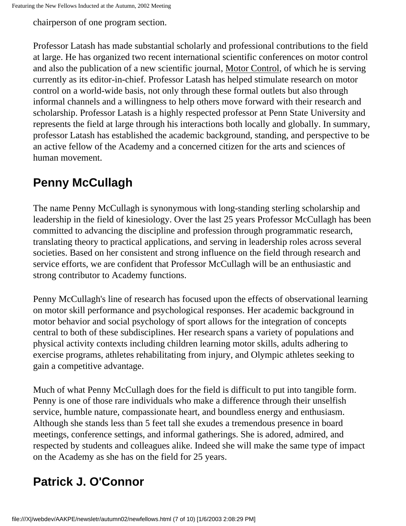chairperson of one program section.

Professor Latash has made substantial scholarly and professional contributions to the field at large. He has organized two recent international scientific conferences on motor control and also the publication of a new scientific journal, Motor Control, of which he is serving currently as its editor-in-chief. Professor Latash has helped stimulate research on motor control on a world-wide basis, not only through these formal outlets but also through informal channels and a willingness to help others move forward with their research and scholarship. Professor Latash is a highly respected professor at Penn State University and represents the field at large through his interactions both locally and globally. In summary, professor Latash has established the academic background, standing, and perspective to be an active fellow of the Academy and a concerned citizen for the arts and sciences of human movement.

## **Penny McCullagh**

The name Penny McCullagh is synonymous with long-standing sterling scholarship and leadership in the field of kinesiology. Over the last 25 years Professor McCullagh has been committed to advancing the discipline and profession through programmatic research, translating theory to practical applications, and serving in leadership roles across several societies. Based on her consistent and strong influence on the field through research and service efforts, we are confident that Professor McCullagh will be an enthusiastic and strong contributor to Academy functions.

Penny McCullagh's line of research has focused upon the effects of observational learning on motor skill performance and psychological responses. Her academic background in motor behavior and social psychology of sport allows for the integration of concepts central to both of these subdisciplines. Her research spans a variety of populations and physical activity contexts including children learning motor skills, adults adhering to exercise programs, athletes rehabilitating from injury, and Olympic athletes seeking to gain a competitive advantage.

Much of what Penny McCullagh does for the field is difficult to put into tangible form. Penny is one of those rare individuals who make a difference through their unselfish service, humble nature, compassionate heart, and boundless energy and enthusiasm. Although she stands less than 5 feet tall she exudes a tremendous presence in board meetings, conference settings, and informal gatherings. She is adored, admired, and respected by students and colleagues alike. Indeed she will make the same type of impact on the Academy as she has on the field for 25 years.

## **Patrick J. O'Connor**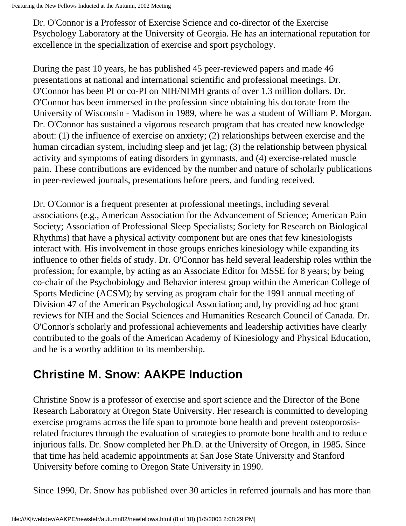Dr. O'Connor is a Professor of Exercise Science and co-director of the Exercise Psychology Laboratory at the University of Georgia. He has an international reputation for excellence in the specialization of exercise and sport psychology.

During the past 10 years, he has published 45 peer-reviewed papers and made 46 presentations at national and international scientific and professional meetings. Dr. O'Connor has been PI or co-PI on NIH/NIMH grants of over 1.3 million dollars. Dr. O'Connor has been immersed in the profession since obtaining his doctorate from the University of Wisconsin - Madison in 1989, where he was a student of William P. Morgan. Dr. O'Connor has sustained a vigorous research program that has created new knowledge about: (1) the influence of exercise on anxiety; (2) relationships between exercise and the human circadian system, including sleep and jet lag; (3) the relationship between physical activity and symptoms of eating disorders in gymnasts, and (4) exercise-related muscle pain. These contributions are evidenced by the number and nature of scholarly publications in peer-reviewed journals, presentations before peers, and funding received.

Dr. O'Connor is a frequent presenter at professional meetings, including several associations (e.g., American Association for the Advancement of Science; American Pain Society; Association of Professional Sleep Specialists; Society for Research on Biological Rhythms) that have a physical activity component but are ones that few kinesiologists interact with. His involvement in those groups enriches kinesiology while expanding its influence to other fields of study. Dr. O'Connor has held several leadership roles within the profession; for example, by acting as an Associate Editor for MSSE for 8 years; by being co-chair of the Psychobiology and Behavior interest group within the American College of Sports Medicine (ACSM); by serving as program chair for the 1991 annual meeting of Division 47 of the American Psychological Association; and, by providing ad hoc grant reviews for NIH and the Social Sciences and Humanities Research Council of Canada. Dr. O'Connor's scholarly and professional achievements and leadership activities have clearly contributed to the goals of the American Academy of Kinesiology and Physical Education, and he is a worthy addition to its membership.

## **Christine M. Snow: AAKPE Induction**

Christine Snow is a professor of exercise and sport science and the Director of the Bone Research Laboratory at Oregon State University. Her research is committed to developing exercise programs across the life span to promote bone health and prevent osteoporosisrelated fractures through the evaluation of strategies to promote bone health and to reduce injurious falls. Dr. Snow completed her Ph.D. at the University of Oregon, in 1985. Since that time has held academic appointments at San Jose State University and Stanford University before coming to Oregon State University in 1990.

Since 1990, Dr. Snow has published over 30 articles in referred journals and has more than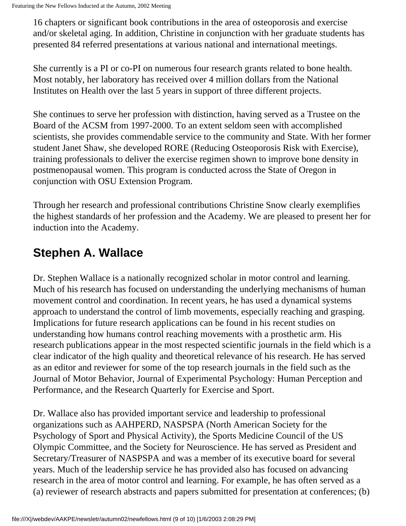16 chapters or significant book contributions in the area of osteoporosis and exercise and/or skeletal aging. In addition, Christine in conjunction with her graduate students has presented 84 referred presentations at various national and international meetings.

She currently is a PI or co-PI on numerous four research grants related to bone health. Most notably, her laboratory has received over 4 million dollars from the National Institutes on Health over the last 5 years in support of three different projects.

She continues to serve her profession with distinction, having served as a Trustee on the Board of the ACSM from 1997-2000. To an extent seldom seen with accomplished scientists, she provides commendable service to the community and State. With her former student Janet Shaw, she developed RORE (Reducing Osteoporosis Risk with Exercise), training professionals to deliver the exercise regimen shown to improve bone density in postmenopausal women. This program is conducted across the State of Oregon in conjunction with OSU Extension Program.

Through her research and professional contributions Christine Snow clearly exemplifies the highest standards of her profession and the Academy. We are pleased to present her for induction into the Academy.

## **Stephen A. Wallace**

Dr. Stephen Wallace is a nationally recognized scholar in motor control and learning. Much of his research has focused on understanding the underlying mechanisms of human movement control and coordination. In recent years, he has used a dynamical systems approach to understand the control of limb movements, especially reaching and grasping. Implications for future research applications can be found in his recent studies on understanding how humans control reaching movements with a prosthetic arm. His research publications appear in the most respected scientific journals in the field which is a clear indicator of the high quality and theoretical relevance of his research. He has served as an editor and reviewer for some of the top research journals in the field such as the Journal of Motor Behavior, Journal of Experimental Psychology: Human Perception and Performance, and the Research Quarterly for Exercise and Sport.

Dr. Wallace also has provided important service and leadership to professional organizations such as AAHPERD, NASPSPA (North American Society for the Psychology of Sport and Physical Activity), the Sports Medicine Council of the US Olympic Committee, and the Society for Neuroscience. He has served as President and Secretary/Treasurer of NASPSPA and was a member of its executive board for several years. Much of the leadership service he has provided also has focused on advancing research in the area of motor control and learning. For example, he has often served as a (a) reviewer of research abstracts and papers submitted for presentation at conferences; (b)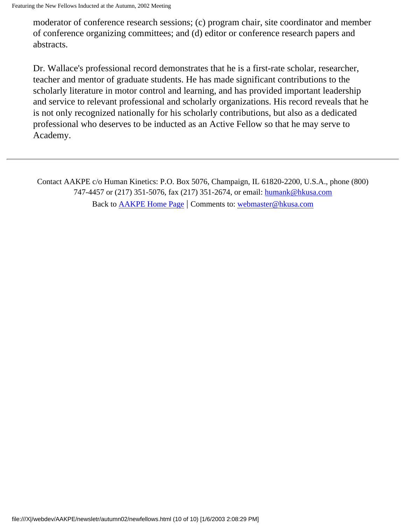moderator of conference research sessions; (c) program chair, site coordinator and member of conference organizing committees; and (d) editor or conference research papers and abstracts.

Dr. Wallace's professional record demonstrates that he is a first-rate scholar, researcher, teacher and mentor of graduate students. He has made significant contributions to the scholarly literature in motor control and learning, and has provided important leadership and service to relevant professional and scholarly organizations. His record reveals that he is not only recognized nationally for his scholarly contributions, but also as a dedicated professional who deserves to be inducted as an Active Fellow so that he may serve to Academy.

Contact AAKPE c/o Human Kinetics: P.O. Box 5076, Champaign, IL 61820-2200, U.S.A., phone (800) 747-4457 or (217) 351-5076, fax (217) 351-2674, or email: [humank@hkusa.com](mailto:humank@hkusa.com) Back to [AAKPE Home Page](file:///X|/webdev/AAKPE/index.html) | Comments to: [webmaster@hkusa.com](mailto:webmaster@hkusa.com)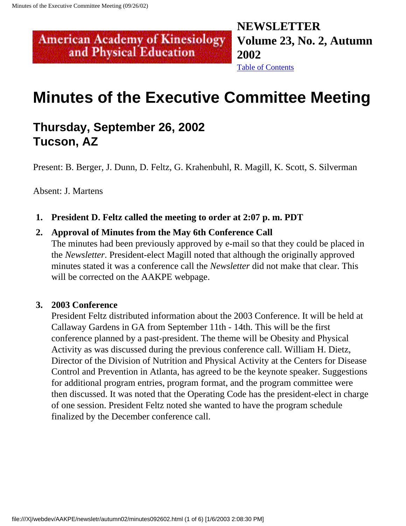**NEWSLETTER Volume 23, No. 2, Autumn 2002** [Table of Contents](#page-0-0)

## **Minutes of the Executive Committee Meeting**

## **Thursday, September 26, 2002 Tucson, AZ**

<span id="page-18-0"></span>**American Academy of Kinesiology** and Physical Education

Present: B. Berger, J. Dunn, D. Feltz, G. Krahenbuhl, R. Magill, K. Scott, S. Silverman

Absent: J. Martens

**1. President D. Feltz called the meeting to order at 2:07 p. m. PDT**

#### **2. Approval of Minutes from the May 6th Conference Call**

The minutes had been previously approved by e-mail so that they could be placed in the *Newsletter*. President-elect Magill noted that although the originally approved minutes stated it was a conference call the *Newsletter* did not make that clear. This will be corrected on the AAKPE webpage.

#### **3. 2003 Conference**

President Feltz distributed information about the 2003 Conference. It will be held at Callaway Gardens in GA from September 11th - 14th. This will be the first conference planned by a past-president. The theme will be Obesity and Physical Activity as was discussed during the previous conference call. William H. Dietz, Director of the Division of Nutrition and Physical Activity at the Centers for Disease Control and Prevention in Atlanta, has agreed to be the keynote speaker. Suggestions for additional program entries, program format, and the program committee were then discussed. It was noted that the Operating Code has the president-elect in charge of one session. President Feltz noted she wanted to have the program schedule finalized by the December conference call.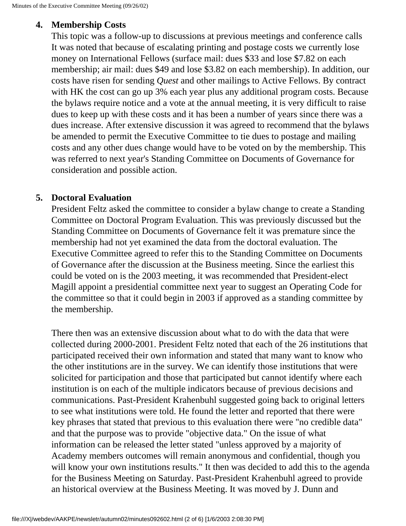#### **4. Membership Costs**

This topic was a follow-up to discussions at previous meetings and conference calls It was noted that because of escalating printing and postage costs we currently lose money on International Fellows (surface mail: dues \$33 and lose \$7.82 on each membership; air mail: dues \$49 and lose \$3.82 on each membership). In addition, our costs have risen for sending *Quest* and other mailings to Active Fellows. By contract with HK the cost can go up 3% each year plus any additional program costs. Because the bylaws require notice and a vote at the annual meeting, it is very difficult to raise dues to keep up with these costs and it has been a number of years since there was a dues increase. After extensive discussion it was agreed to recommend that the bylaws be amended to permit the Executive Committee to tie dues to postage and mailing costs and any other dues change would have to be voted on by the membership. This was referred to next year's Standing Committee on Documents of Governance for consideration and possible action.

#### **5. Doctoral Evaluation**

President Feltz asked the committee to consider a bylaw change to create a Standing Committee on Doctoral Program Evaluation. This was previously discussed but the Standing Committee on Documents of Governance felt it was premature since the membership had not yet examined the data from the doctoral evaluation. The Executive Committee agreed to refer this to the Standing Committee on Documents of Governance after the discussion at the Business meeting. Since the earliest this could be voted on is the 2003 meeting, it was recommended that President-elect Magill appoint a presidential committee next year to suggest an Operating Code for the committee so that it could begin in 2003 if approved as a standing committee by the membership.

There then was an extensive discussion about what to do with the data that were collected during 2000-2001. President Feltz noted that each of the 26 institutions that participated received their own information and stated that many want to know who the other institutions are in the survey. We can identify those institutions that were solicited for participation and those that participated but cannot identify where each institution is on each of the multiple indicators because of previous decisions and communications. Past-President Krahenbuhl suggested going back to original letters to see what institutions were told. He found the letter and reported that there were key phrases that stated that previous to this evaluation there were "no credible data" and that the purpose was to provide "objective data." On the issue of what information can be released the letter stated "unless approved by a majority of Academy members outcomes will remain anonymous and confidential, though you will know your own institutions results." It then was decided to add this to the agenda for the Business Meeting on Saturday. Past-President Krahenbuhl agreed to provide an historical overview at the Business Meeting. It was moved by J. Dunn and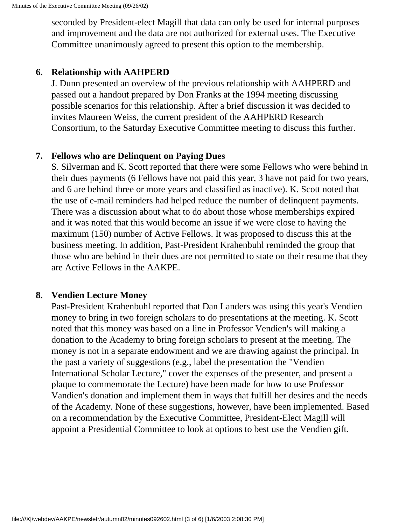seconded by President-elect Magill that data can only be used for internal purposes and improvement and the data are not authorized for external uses. The Executive Committee unanimously agreed to present this option to the membership.

#### **6. Relationship with AAHPERD**

J. Dunn presented an overview of the previous relationship with AAHPERD and passed out a handout prepared by Don Franks at the 1994 meeting discussing possible scenarios for this relationship. After a brief discussion it was decided to invites Maureen Weiss, the current president of the AAHPERD Research Consortium, to the Saturday Executive Committee meeting to discuss this further.

#### **7. Fellows who are Delinquent on Paying Dues**

S. Silverman and K. Scott reported that there were some Fellows who were behind in their dues payments (6 Fellows have not paid this year, 3 have not paid for two years, and 6 are behind three or more years and classified as inactive). K. Scott noted that the use of e-mail reminders had helped reduce the number of delinquent payments. There was a discussion about what to do about those whose memberships expired and it was noted that this would become an issue if we were close to having the maximum (150) number of Active Fellows. It was proposed to discuss this at the business meeting. In addition, Past-President Krahenbuhl reminded the group that those who are behind in their dues are not permitted to state on their resume that they are Active Fellows in the AAKPE.

#### **8. Vendien Lecture Money**

Past-President Krahenbuhl reported that Dan Landers was using this year's Vendien money to bring in two foreign scholars to do presentations at the meeting. K. Scott noted that this money was based on a line in Professor Vendien's will making a donation to the Academy to bring foreign scholars to present at the meeting. The money is not in a separate endowment and we are drawing against the principal. In the past a variety of suggestions (e.g., label the presentation the "Vendien International Scholar Lecture," cover the expenses of the presenter, and present a plaque to commemorate the Lecture) have been made for how to use Professor Vandien's donation and implement them in ways that fulfill her desires and the needs of the Academy. None of these suggestions, however, have been implemented. Based on a recommendation by the Executive Committee, President-Elect Magill will appoint a Presidential Committee to look at options to best use the Vendien gift.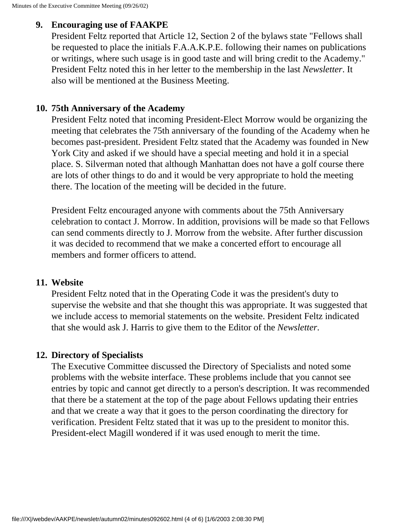#### **9. Encouraging use of FAAKPE**

President Feltz reported that Article 12, Section 2 of the bylaws state "Fellows shall be requested to place the initials F.A.A.K.P.E. following their names on publications or writings, where such usage is in good taste and will bring credit to the Academy." President Feltz noted this in her letter to the membership in the last *Newsletter*. It also will be mentioned at the Business Meeting.

#### **10. 75th Anniversary of the Academy**

President Feltz noted that incoming President-Elect Morrow would be organizing the meeting that celebrates the 75th anniversary of the founding of the Academy when he becomes past-president. President Feltz stated that the Academy was founded in New York City and asked if we should have a special meeting and hold it in a special place. S. Silverman noted that although Manhattan does not have a golf course there are lots of other things to do and it would be very appropriate to hold the meeting there. The location of the meeting will be decided in the future.

President Feltz encouraged anyone with comments about the 75th Anniversary celebration to contact J. Morrow. In addition, provisions will be made so that Fellows can send comments directly to J. Morrow from the website. After further discussion it was decided to recommend that we make a concerted effort to encourage all members and former officers to attend.

#### **11. Website**

President Feltz noted that in the Operating Code it was the president's duty to supervise the website and that she thought this was appropriate. It was suggested that we include access to memorial statements on the website. President Feltz indicated that she would ask J. Harris to give them to the Editor of the *Newsletter*.

#### **12. Directory of Specialists**

The Executive Committee discussed the Directory of Specialists and noted some problems with the website interface. These problems include that you cannot see entries by topic and cannot get directly to a person's description. It was recommended that there be a statement at the top of the page about Fellows updating their entries and that we create a way that it goes to the person coordinating the directory for verification. President Feltz stated that it was up to the president to monitor this. President-elect Magill wondered if it was used enough to merit the time.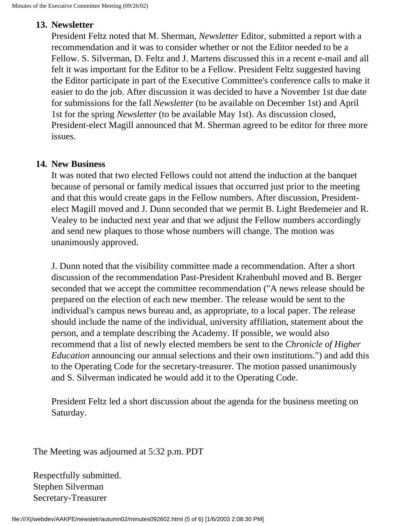#### **13. Newsletter**

President Feltz noted that M. Sherman, *Newsletter* Editor, submitted a report with a recommendation and it was to consider whether or not the Editor needed to be a Fellow. S. Silverman, D. Feltz and J. Martens discussed this in a recent e-mail and all felt it was important for the Editor to be a Fellow. President Feltz suggested having the Editor participate in part of the Executive Committee's conference calls to make it easier to do the job. After discussion it was decided to have a November 1st due date for submissions for the fall *Newsletter* (to be available on December 1st) and April 1st for the spring *Newsletter* (to be available May 1st). As discussion closed, President-elect Magill announced that M. Sherman agreed to be editor for three more issues.

#### **14. New Business**

It was noted that two elected Fellows could not attend the induction at the banquet because of personal or family medical issues that occurred just prior to the meeting and that this would create gaps in the Fellow numbers. After discussion, Presidentelect Magill moved and J. Dunn seconded that we permit B. Light Bredemeier and R. Vealey to be inducted next year and that we adjust the Fellow numbers accordingly and send new plaques to those whose numbers will change. The motion was unanimously approved.

J. Dunn noted that the visibility committee made a recommendation. After a short discussion of the recommendation Past-President Krahenbuhl moved and B. Berger seconded that we accept the committee recommendation ("A news release should be prepared on the election of each new member. The release would be sent to the individual's campus news bureau and, as appropriate, to a local paper. The release should include the name of the individual, university affiliation, statement about the person, and a template describing the Academy. If possible, we would also recommend that a list of newly elected members be sent to the *Chronicle of Higher Education* announcing our annual selections and their own institutions.") and add this to the Operating Code for the secretary-treasurer. The motion passed unanimously and S. Silverman indicated he would add it to the Operating Code.

President Feltz led a short discussion about the agenda for the business meeting on Saturday.

The Meeting was adjourned at 5:32 p.m. PDT

Respectfully submitted. Stephen Silverman Secretary-Treasurer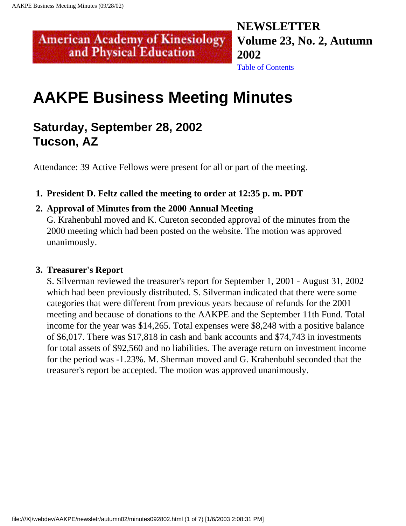## **NEWSLETTER Volume 23, No. 2, Autumn 2002**

[Table of Contents](#page-0-0)

## **AAKPE Business Meeting Minutes**

## **Saturday, September 28, 2002 Tucson, AZ**

<span id="page-23-0"></span>**American Academy of Kinesiology** and Physical Education

Attendance: 39 Active Fellows were present for all or part of the meeting.

#### **1. President D. Feltz called the meeting to order at 12:35 p. m. PDT**

#### **2. Approval of Minutes from the 2000 Annual Meeting**

G. Krahenbuhl moved and K. Cureton seconded approval of the minutes from the 2000 meeting which had been posted on the website. The motion was approved unanimously.

#### **3. Treasurer's Report**

S. Silverman reviewed the treasurer's report for September 1, 2001 - August 31, 2002 which had been previously distributed. S. Silverman indicated that there were some categories that were different from previous years because of refunds for the 2001 meeting and because of donations to the AAKPE and the September 11th Fund. Total income for the year was \$14,265. Total expenses were \$8,248 with a positive balance of \$6,017. There was \$17,818 in cash and bank accounts and \$74,743 in investments for total assets of \$92,560 and no liabilities. The average return on investment income for the period was -1.23%. M. Sherman moved and G. Krahenbuhl seconded that the treasurer's report be accepted. The motion was approved unanimously.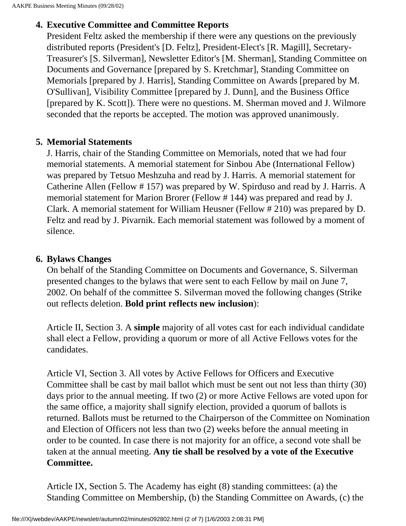#### **4. Executive Committee and Committee Reports**

President Feltz asked the membership if there were any questions on the previously distributed reports (President's [D. Feltz], President-Elect's [R. Magill], Secretary-Treasurer's [S. Silverman], Newsletter Editor's [M. Sherman], Standing Committee on Documents and Governance [prepared by S. Kretchmar], Standing Committee on Memorials [prepared by J. Harris], Standing Committee on Awards [prepared by M. O'Sullivan], Visibility Committee [prepared by J. Dunn], and the Business Office [prepared by K. Scott]). There were no questions. M. Sherman moved and J. Wilmore seconded that the reports be accepted. The motion was approved unanimously.

#### **5. Memorial Statements**

J. Harris, chair of the Standing Committee on Memorials, noted that we had four memorial statements. A memorial statement for Sinbou Abe (International Fellow) was prepared by Tetsuo Meshzuha and read by J. Harris. A memorial statement for Catherine Allen (Fellow # 157) was prepared by W. Spirduso and read by J. Harris. A memorial statement for Marion Brorer (Fellow # 144) was prepared and read by J. Clark. A memorial statement for William Heusner (Fellow # 210) was prepared by D. Feltz and read by J. Pivarnik. Each memorial statement was followed by a moment of silence.

#### **6. Bylaws Changes**

On behalf of the Standing Committee on Documents and Governance, S. Silverman presented changes to the bylaws that were sent to each Fellow by mail on June 7, 2002. On behalf of the committee S. Silverman moved the following changes (Strike out reflects deletion. **Bold print reflects new inclusion**):

Article II, Section 3. A **simple** majority of all votes cast for each individual candidate shall elect a Fellow, providing a quorum or more of all Active Fellows votes for the candidates.

Article VI, Section 3. All votes by Active Fellows for Officers and Executive Committee shall be cast by mail ballot which must be sent out not less than thirty (30) days prior to the annual meeting. If two (2) or more Active Fellows are voted upon for the same office, a majority shall signify election, provided a quorum of ballots is returned. Ballots must be returned to the Chairperson of the Committee on Nomination and Election of Officers not less than two (2) weeks before the annual meeting in order to be counted. In case there is not majority for an office, a second vote shall be taken at the annual meeting. **Any tie shall be resolved by a vote of the Executive Committee.** 

Article IX, Section 5. The Academy has eight (8) standing committees: (a) the Standing Committee on Membership, (b) the Standing Committee on Awards, (c) the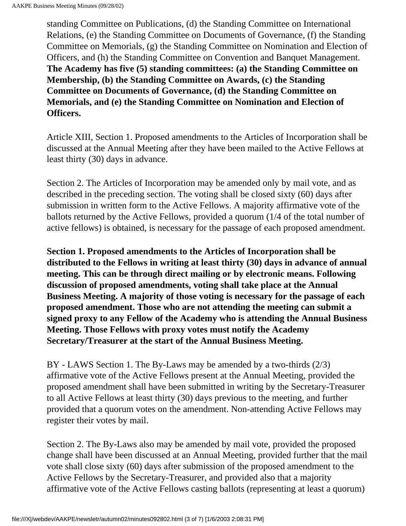standing Committee on Publications, (d) the Standing Committee on International Relations, (e) the Standing Committee on Documents of Governance, (f) the Standing Committee on Memorials, (g) the Standing Committee on Nomination and Election of Officers, and (h) the Standing Committee on Convention and Banquet Management. **The Academy has five (5) standing committees: (a) the Standing Committee on Membership, (b) the Standing Committee on Awards, (c) the Standing Committee on Documents of Governance, (d) the Standing Committee on Memorials, and (e) the Standing Committee on Nomination and Election of Officers.** 

Article XIII, Section 1. Proposed amendments to the Articles of Incorporation shall be discussed at the Annual Meeting after they have been mailed to the Active Fellows at least thirty (30) days in advance.

Section 2. The Articles of Incorporation may be amended only by mail vote, and as described in the preceding section. The voting shall be closed sixty (60) days after submission in written form to the Active Fellows. A majority affirmative vote of the ballots returned by the Active Fellows, provided a quorum (1/4 of the total number of active fellows) is obtained, is necessary for the passage of each proposed amendment.

**Section 1. Proposed amendments to the Articles of Incorporation shall be distributed to the Fellows in writing at least thirty (30) days in advance of annual meeting. This can be through direct mailing or by electronic means. Following discussion of proposed amendments, voting shall take place at the Annual Business Meeting. A majority of those voting is necessary for the passage of each proposed amendment. Those who are not attending the meeting can submit a signed proxy to any Fellow of the Academy who is attending the Annual Business Meeting. Those Fellows with proxy votes must notify the Academy Secretary/Treasurer at the start of the Annual Business Meeting.** 

BY - LAWS Section 1. The By-Laws may be amended by a two-thirds (2/3) affirmative vote of the Active Fellows present at the Annual Meeting, provided the proposed amendment shall have been submitted in writing by the Secretary-Treasurer to all Active Fellows at least thirty (30) days previous to the meeting, and further provided that a quorum votes on the amendment. Non-attending Active Fellows may register their votes by mail.

Section 2. The By-Laws also may be amended by mail vote, provided the proposed change shall have been discussed at an Annual Meeting, provided further that the mail vote shall close sixty (60) days after submission of the proposed amendment to the Active Fellows by the Secretary-Treasurer, and provided also that a majority affirmative vote of the Active Fellows casting ballots (representing at least a quorum)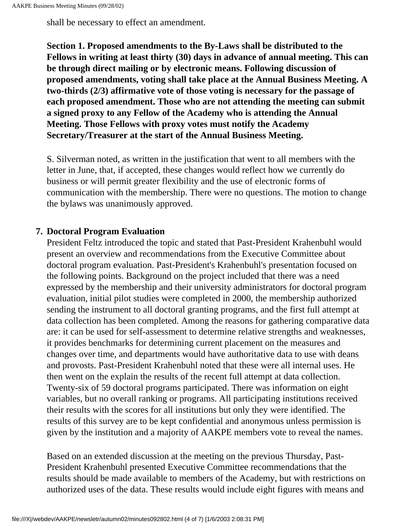shall be necessary to effect an amendment.

**Section 1. Proposed amendments to the By-Laws shall be distributed to the Fellows in writing at least thirty (30) days in advance of annual meeting. This can be through direct mailing or by electronic means. Following discussion of proposed amendments, voting shall take place at the Annual Business Meeting. A two-thirds (2/3) affirmative vote of those voting is necessary for the passage of each proposed amendment. Those who are not attending the meeting can submit a signed proxy to any Fellow of the Academy who is attending the Annual Meeting. Those Fellows with proxy votes must notify the Academy Secretary/Treasurer at the start of the Annual Business Meeting.** 

S. Silverman noted, as written in the justification that went to all members with the letter in June, that, if accepted, these changes would reflect how we currently do business or will permit greater flexibility and the use of electronic forms of communication with the membership. There were no questions. The motion to change the bylaws was unanimously approved.

#### **7. Doctoral Program Evaluation**

President Feltz introduced the topic and stated that Past-President Krahenbuhl would present an overview and recommendations from the Executive Committee about doctoral program evaluation. Past-President's Krahenbuhl's presentation focused on the following points. Background on the project included that there was a need expressed by the membership and their university administrators for doctoral program evaluation, initial pilot studies were completed in 2000, the membership authorized sending the instrument to all doctoral granting programs, and the first full attempt at data collection has been completed. Among the reasons for gathering comparative data are: it can be used for self-assessment to determine relative strengths and weaknesses, it provides benchmarks for determining current placement on the measures and changes over time, and departments would have authoritative data to use with deans and provosts. Past-President Krahenbuhl noted that these were all internal uses. He then went on the explain the results of the recent full attempt at data collection. Twenty-six of 59 doctoral programs participated. There was information on eight variables, but no overall ranking or programs. All participating institutions received their results with the scores for all institutions but only they were identified. The results of this survey are to be kept confidential and anonymous unless permission is given by the institution and a majority of AAKPE members vote to reveal the names.

Based on an extended discussion at the meeting on the previous Thursday, Past-President Krahenbuhl presented Executive Committee recommendations that the results should be made available to members of the Academy, but with restrictions on authorized uses of the data. These results would include eight figures with means and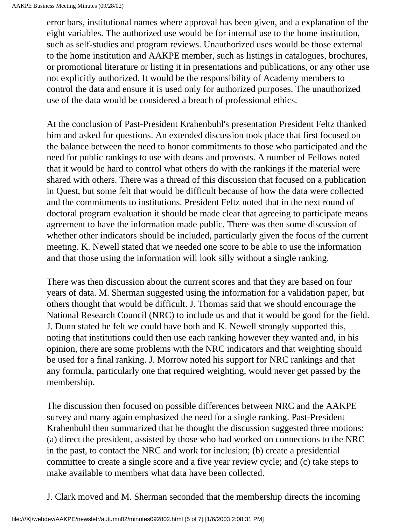error bars, institutional names where approval has been given, and a explanation of the eight variables. The authorized use would be for internal use to the home institution, such as self-studies and program reviews. Unauthorized uses would be those external to the home institution and AAKPE member, such as listings in catalogues, brochures, or promotional literature or listing it in presentations and publications, or any other use not explicitly authorized. It would be the responsibility of Academy members to control the data and ensure it is used only for authorized purposes. The unauthorized use of the data would be considered a breach of professional ethics.

At the conclusion of Past-President Krahenbuhl's presentation President Feltz thanked him and asked for questions. An extended discussion took place that first focused on the balance between the need to honor commitments to those who participated and the need for public rankings to use with deans and provosts. A number of Fellows noted that it would be hard to control what others do with the rankings if the material were shared with others. There was a thread of this discussion that focused on a publication in Quest, but some felt that would be difficult because of how the data were collected and the commitments to institutions. President Feltz noted that in the next round of doctoral program evaluation it should be made clear that agreeing to participate means agreement to have the information made public. There was then some discussion of whether other indicators should be included, particularly given the focus of the current meeting. K. Newell stated that we needed one score to be able to use the information and that those using the information will look silly without a single ranking.

There was then discussion about the current scores and that they are based on four years of data. M. Sherman suggested using the information for a validation paper, but others thought that would be difficult. J. Thomas said that we should encourage the National Research Council (NRC) to include us and that it would be good for the field. J. Dunn stated he felt we could have both and K. Newell strongly supported this, noting that institutions could then use each ranking however they wanted and, in his opinion, there are some problems with the NRC indicators and that weighting should be used for a final ranking. J. Morrow noted his support for NRC rankings and that any formula, particularly one that required weighting, would never get passed by the membership.

The discussion then focused on possible differences between NRC and the AAKPE survey and many again emphasized the need for a single ranking. Past-President Krahenbuhl then summarized that he thought the discussion suggested three motions: (a) direct the president, assisted by those who had worked on connections to the NRC in the past, to contact the NRC and work for inclusion; (b) create a presidential committee to create a single score and a five year review cycle; and (c) take steps to make available to members what data have been collected.

J. Clark moved and M. Sherman seconded that the membership directs the incoming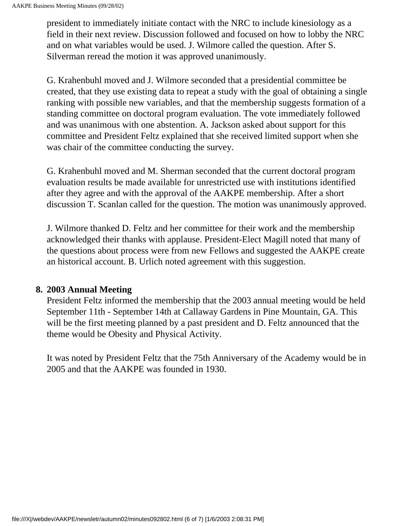president to immediately initiate contact with the NRC to include kinesiology as a field in their next review. Discussion followed and focused on how to lobby the NRC and on what variables would be used. J. Wilmore called the question. After S. Silverman reread the motion it was approved unanimously.

G. Krahenbuhl moved and J. Wilmore seconded that a presidential committee be created, that they use existing data to repeat a study with the goal of obtaining a single ranking with possible new variables, and that the membership suggests formation of a standing committee on doctoral program evaluation. The vote immediately followed and was unanimous with one abstention. A. Jackson asked about support for this committee and President Feltz explained that she received limited support when she was chair of the committee conducting the survey.

G. Krahenbuhl moved and M. Sherman seconded that the current doctoral program evaluation results be made available for unrestricted use with institutions identified after they agree and with the approval of the AAKPE membership. After a short discussion T. Scanlan called for the question. The motion was unanimously approved.

J. Wilmore thanked D. Feltz and her committee for their work and the membership acknowledged their thanks with applause. President-Elect Magill noted that many of the questions about process were from new Fellows and suggested the AAKPE create an historical account. B. Urlich noted agreement with this suggestion.

#### **8. 2003 Annual Meeting**

President Feltz informed the membership that the 2003 annual meeting would be held September 11th - September 14th at Callaway Gardens in Pine Mountain, GA. This will be the first meeting planned by a past president and D. Feltz announced that the theme would be Obesity and Physical Activity.

It was noted by President Feltz that the 75th Anniversary of the Academy would be in 2005 and that the AAKPE was founded in 1930.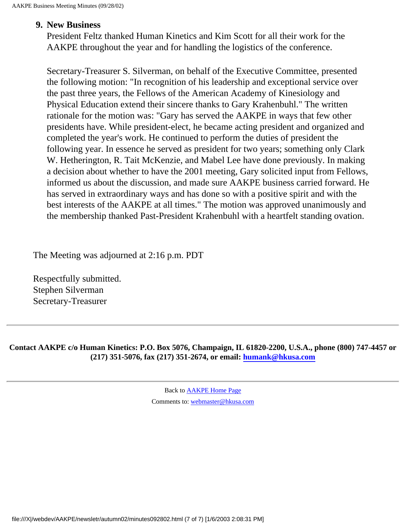#### **9. New Business**

President Feltz thanked Human Kinetics and Kim Scott for all their work for the AAKPE throughout the year and for handling the logistics of the conference.

Secretary-Treasurer S. Silverman, on behalf of the Executive Committee, presented the following motion: "In recognition of his leadership and exceptional service over the past three years, the Fellows of the American Academy of Kinesiology and Physical Education extend their sincere thanks to Gary Krahenbuhl." The written rationale for the motion was: "Gary has served the AAKPE in ways that few other presidents have. While president-elect, he became acting president and organized and completed the year's work. He continued to perform the duties of president the following year. In essence he served as president for two years; something only Clark W. Hetherington, R. Tait McKenzie, and Mabel Lee have done previously. In making a decision about whether to have the 2001 meeting, Gary solicited input from Fellows, informed us about the discussion, and made sure AAKPE business carried forward. He has served in extraordinary ways and has done so with a positive spirit and with the best interests of the AAKPE at all times." The motion was approved unanimously and the membership thanked Past-President Krahenbuhl with a heartfelt standing ovation.

The Meeting was adjourned at 2:16 p.m. PDT

Respectfully submitted. Stephen Silverman Secretary-Treasurer

**Contact AAKPE c/o Human Kinetics: P.O. Box 5076, Champaign, IL 61820-2200, U.S.A., phone (800) 747-4457 or (217) 351-5076, fax (217) 351-2674, or email: [humank@hkusa.com](mailto:humank@hkusa.com)**

> Back to [AAKPE Home Page](file:///X|/webdev/AAKPE/index.html) Comments to: [webmaster@hkusa.com](mailto:webmaster@hkusa.com)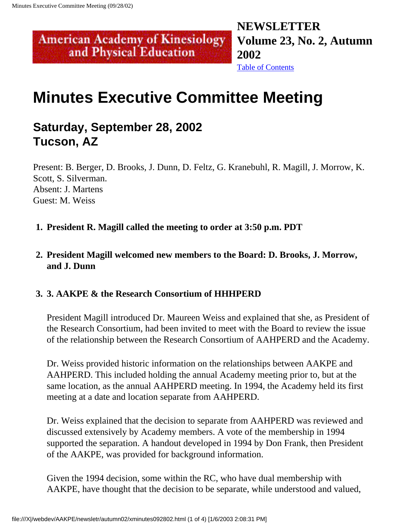### <span id="page-30-0"></span>**NEWSLETTER American Academy of Kinesiology Volume 23, No. 2, Autumn 2002**

#### [Table of Contents](#page-0-0)

## **Minutes Executive Committee Meeting**

### **Saturday, September 28, 2002 Tucson, AZ**

and Physical Education

Present: B. Berger, D. Brooks, J. Dunn, D. Feltz, G. Kranebuhl, R. Magill, J. Morrow, K. Scott, S. Silverman. Absent: J. Martens Guest: M. Weiss

- **1. President R. Magill called the meeting to order at 3:50 p.m. PDT**
- **2. President Magill welcomed new members to the Board: D. Brooks, J. Morrow, and J. Dunn**

#### **3. 3. AAKPE & the Research Consortium of HHHPERD**

President Magill introduced Dr. Maureen Weiss and explained that she, as President of the Research Consortium, had been invited to meet with the Board to review the issue of the relationship between the Research Consortium of AAHPERD and the Academy.

Dr. Weiss provided historic information on the relationships between AAKPE and AAHPERD. This included holding the annual Academy meeting prior to, but at the same location, as the annual AAHPERD meeting. In 1994, the Academy held its first meeting at a date and location separate from AAHPERD.

Dr. Weiss explained that the decision to separate from AAHPERD was reviewed and discussed extensively by Academy members. A vote of the membership in 1994 supported the separation. A handout developed in 1994 by Don Frank, then President of the AAKPE, was provided for background information.

Given the 1994 decision, some within the RC, who have dual membership with AAKPE, have thought that the decision to be separate, while understood and valued,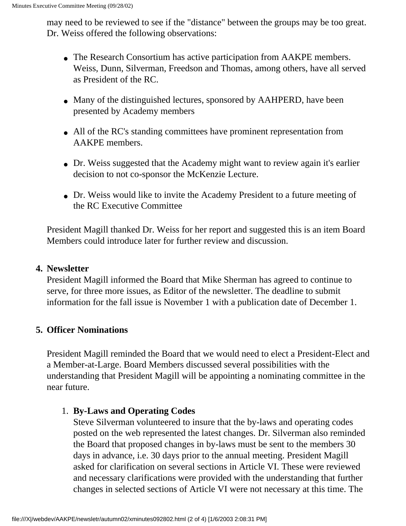may need to be reviewed to see if the "distance" between the groups may be too great. Dr. Weiss offered the following observations:

- The Research Consortium has active participation from AAKPE members. Weiss, Dunn, Silverman, Freedson and Thomas, among others, have all served as President of the RC.
- Many of the distinguished lectures, sponsored by AAHPERD, have been presented by Academy members
- All of the RC's standing committees have prominent representation from AAKPE members.
- Dr. Weiss suggested that the Academy might want to review again it's earlier decision to not co-sponsor the McKenzie Lecture.
- Dr. Weiss would like to invite the Academy President to a future meeting of the RC Executive Committee

President Magill thanked Dr. Weiss for her report and suggested this is an item Board Members could introduce later for further review and discussion.

#### **4. Newsletter**

President Magill informed the Board that Mike Sherman has agreed to continue to serve, for three more issues, as Editor of the newsletter. The deadline to submit information for the fall issue is November 1 with a publication date of December 1.

#### **5. Officer Nominations**

President Magill reminded the Board that we would need to elect a President-Elect and a Member-at-Large. Board Members discussed several possibilities with the understanding that President Magill will be appointing a nominating committee in the near future.

#### 1. **By-Laws and Operating Codes**

Steve Silverman volunteered to insure that the by-laws and operating codes posted on the web represented the latest changes. Dr. Silverman also reminded the Board that proposed changes in by-laws must be sent to the members 30 days in advance, i.e. 30 days prior to the annual meeting. President Magill asked for clarification on several sections in Article VI. These were reviewed and necessary clarifications were provided with the understanding that further changes in selected sections of Article VI were not necessary at this time. The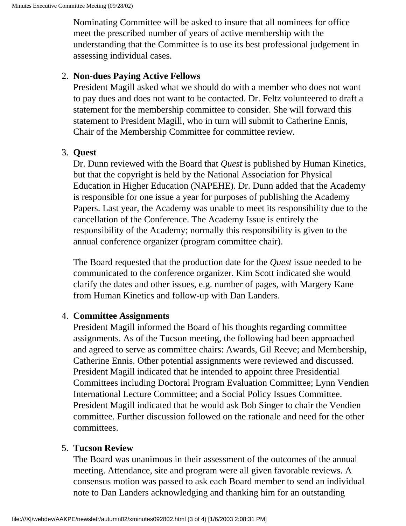Nominating Committee will be asked to insure that all nominees for office meet the prescribed number of years of active membership with the understanding that the Committee is to use its best professional judgement in assessing individual cases.

#### 2. **Non-dues Paying Active Fellows**

President Magill asked what we should do with a member who does not want to pay dues and does not want to be contacted. Dr. Feltz volunteered to draft a statement for the membership committee to consider. She will forward this statement to President Magill, who in turn will submit to Catherine Ennis, Chair of the Membership Committee for committee review.

#### 3. **Quest**

Dr. Dunn reviewed with the Board that *Quest* is published by Human Kinetics, but that the copyright is held by the National Association for Physical Education in Higher Education (NAPEHE). Dr. Dunn added that the Academy is responsible for one issue a year for purposes of publishing the Academy Papers. Last year, the Academy was unable to meet its responsibility due to the cancellation of the Conference. The Academy Issue is entirely the responsibility of the Academy; normally this responsibility is given to the annual conference organizer (program committee chair).

The Board requested that the production date for the *Quest* issue needed to be communicated to the conference organizer. Kim Scott indicated she would clarify the dates and other issues, e.g. number of pages, with Margery Kane from Human Kinetics and follow-up with Dan Landers.

#### 4. **Committee Assignments**

President Magill informed the Board of his thoughts regarding committee assignments. As of the Tucson meeting, the following had been approached and agreed to serve as committee chairs: Awards, Gil Reeve; and Membership, Catherine Ennis. Other potential assignments were reviewed and discussed. President Magill indicated that he intended to appoint three Presidential Committees including Doctoral Program Evaluation Committee; Lynn Vendien International Lecture Committee; and a Social Policy Issues Committee. President Magill indicated that he would ask Bob Singer to chair the Vendien committee. Further discussion followed on the rationale and need for the other committees.

#### 5. **Tucson Review**

The Board was unanimous in their assessment of the outcomes of the annual meeting. Attendance, site and program were all given favorable reviews. A consensus motion was passed to ask each Board member to send an individual note to Dan Landers acknowledging and thanking him for an outstanding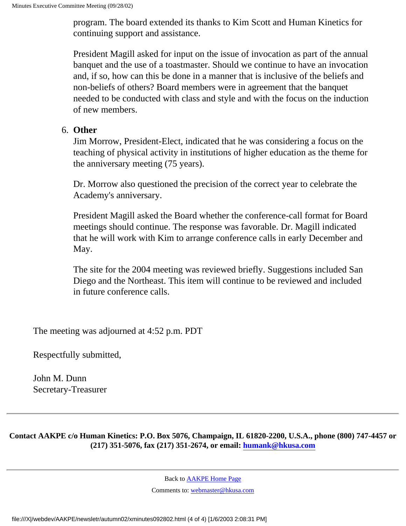program. The board extended its thanks to Kim Scott and Human Kinetics for continuing support and assistance.

President Magill asked for input on the issue of invocation as part of the annual banquet and the use of a toastmaster. Should we continue to have an invocation and, if so, how can this be done in a manner that is inclusive of the beliefs and non-beliefs of others? Board members were in agreement that the banquet needed to be conducted with class and style and with the focus on the induction of new members.

#### 6. **Other**

Jim Morrow, President-Elect, indicated that he was considering a focus on the teaching of physical activity in institutions of higher education as the theme for the anniversary meeting (75 years).

Dr. Morrow also questioned the precision of the correct year to celebrate the Academy's anniversary.

President Magill asked the Board whether the conference-call format for Board meetings should continue. The response was favorable. Dr. Magill indicated that he will work with Kim to arrange conference calls in early December and May.

The site for the 2004 meeting was reviewed briefly. Suggestions included San Diego and the Northeast. This item will continue to be reviewed and included in future conference calls.

The meeting was adjourned at 4:52 p.m. PDT

Respectfully submitted,

John M. Dunn Secretary-Treasurer

**Contact AAKPE c/o Human Kinetics: P.O. Box 5076, Champaign, IL 61820-2200, U.S.A., phone (800) 747-4457 or (217) 351-5076, fax (217) 351-2674, or email: [humank@hkusa.com](mailto:humank@hkusa.com)**

Back to [AAKPE Home Page](file:///X|/webdev/AAKPE/index.html)

Comments to: [webmaster@hkusa.com](mailto:webmaster@hkusa.com)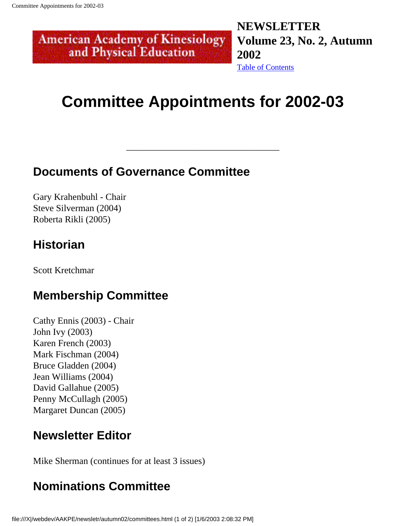#### <span id="page-34-0"></span>**NEWSLETTER American Academy of Kinesiology Volume 23, No. 2, Autumn**  and Physical Education **2002** [Table of Contents](#page-0-0)

## **Committee Appointments for 2002-03**

\_\_\_\_\_\_\_\_\_\_\_\_\_\_\_\_\_\_\_\_\_\_\_\_\_\_\_\_\_\_\_\_\_

## **Documents of Governance Committee**

Gary Krahenbuhl - Chair Steve Silverman (2004) Roberta Rikli (2005)

## **Historian**

Scott Kretchmar

### **Membership Committee**

Cathy Ennis (2003) - Chair John Ivy (2003) Karen French (2003) Mark Fischman (2004) Bruce Gladden (2004) Jean Williams (2004) David Gallahue (2005) Penny McCullagh (2005) Margaret Duncan (2005)

## **Newsletter Editor**

Mike Sherman (continues for at least 3 issues)

## **Nominations Committee**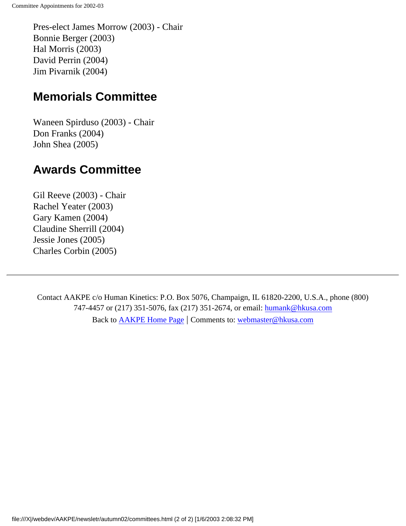Pres-elect James Morrow (2003) - Chair Bonnie Berger (2003) Hal Morris (2003) David Perrin (2004) Jim Pivarnik (2004)

### **Memorials Committee**

Waneen Spirduso (2003) - Chair Don Franks (2004) John Shea (2005)

### **Awards Committee**

Gil Reeve (2003) - Chair Rachel Yeater (2003) Gary Kamen (2004) Claudine Sherrill (2004) Jessie Jones (2005) Charles Corbin (2005)

Contact AAKPE c/o Human Kinetics: P.O. Box 5076, Champaign, IL 61820-2200, U.S.A., phone (800) 747-4457 or (217) 351-5076, fax (217) 351-2674, or email: [humank@hkusa.com](mailto:humank@hkusa.com) Back to [AAKPE Home Page](file:///X|/webdev/AAKPE/index.html) | Comments to: [webmaster@hkusa.com](mailto:webmaster@hkusa.com)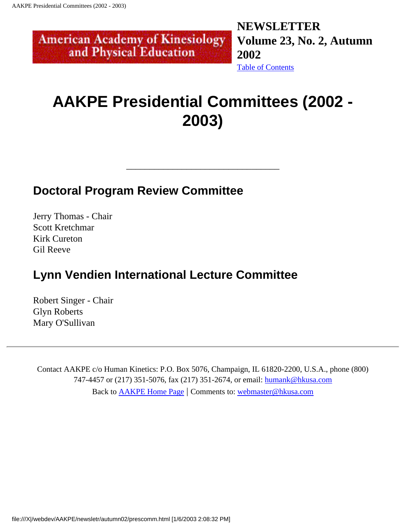**NEWSLETTER Volume 23, No. 2, Autumn 2002** [Table of Contents](#page-0-0)

## **AAKPE Presidential Committees (2002 - 2003)**

\_\_\_\_\_\_\_\_\_\_\_\_\_\_\_\_\_\_\_\_\_\_\_\_\_\_\_\_\_\_\_\_\_

### **Doctoral Program Review Committee**

<span id="page-36-0"></span>**American Academy of Kinesiology** and Physical Education

Jerry Thomas - Chair Scott Kretchmar Kirk Cureton Gil Reeve

## **Lynn Vendien International Lecture Committee**

Robert Singer - Chair Glyn Roberts Mary O'Sullivan

Contact AAKPE c/o Human Kinetics: P.O. Box 5076, Champaign, IL 61820-2200, U.S.A., phone (800) 747-4457 or (217) 351-5076, fax (217) 351-2674, or email: [humank@hkusa.com](mailto:humank@hkusa.com) Back to [AAKPE Home Page](file:///X|/webdev/AAKPE/index.html) | Comments to: [webmaster@hkusa.com](mailto:webmaster@hkusa.com)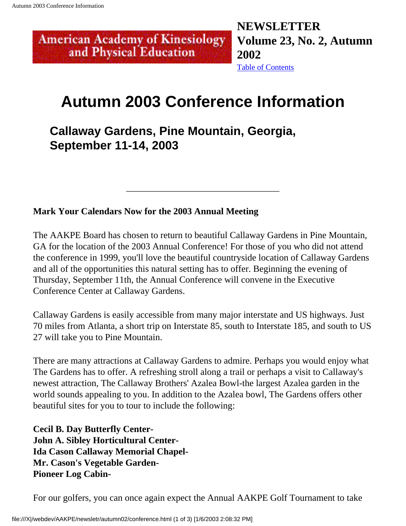#### <span id="page-37-0"></span>**NEWSLETTER American Academy of Kinesiology Volume 23, No. 2, Autumn**  and Physical Education **2002** [Table of Contents](#page-0-0)

## **Autumn 2003 Conference Information**

**Callaway Gardens, Pine Mountain, Georgia, September 11-14, 2003**

**Mark Your Calendars Now for the 2003 Annual Meeting**

The AAKPE Board has chosen to return to beautiful Callaway Gardens in Pine Mountain, GA for the location of the 2003 Annual Conference! For those of you who did not attend the conference in 1999, you'll love the beautiful countryside location of Callaway Gardens and all of the opportunities this natural setting has to offer. Beginning the evening of Thursday, September 11th, the Annual Conference will convene in the Executive Conference Center at Callaway Gardens.

\_\_\_\_\_\_\_\_\_\_\_\_\_\_\_\_\_\_\_\_\_\_\_\_\_\_\_\_\_\_\_\_\_

Callaway Gardens is easily accessible from many major interstate and US highways. Just 70 miles from Atlanta, a short trip on Interstate 85, south to Interstate 185, and south to US 27 will take you to Pine Mountain.

There are many attractions at Callaway Gardens to admire. Perhaps you would enjoy what The Gardens has to offer. A refreshing stroll along a trail or perhaps a visit to Callaway's newest attraction, The Callaway Brothers' Azalea Bowl-the largest Azalea garden in the world sounds appealing to you. In addition to the Azalea bowl, The Gardens offers other beautiful sites for you to tour to include the following:

**Cecil B. Day Butterfly Center-John A. Sibley Horticultural Center-Ida Cason Callaway Memorial Chapel-Mr. Cason's Vegetable Garden-Pioneer Log Cabin-**

For our golfers, you can once again expect the Annual AAKPE Golf Tournament to take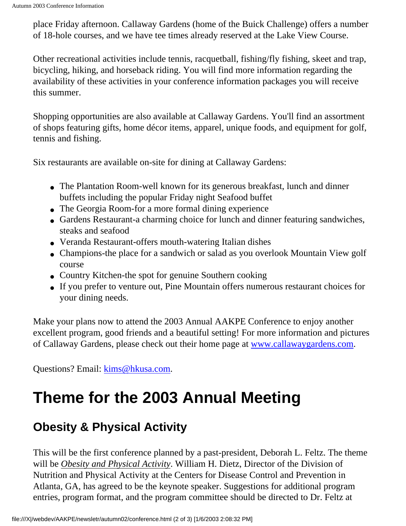place Friday afternoon. Callaway Gardens (home of the Buick Challenge) offers a number of 18-hole courses, and we have tee times already reserved at the Lake View Course.

Other recreational activities include tennis, racquetball, fishing/fly fishing, skeet and trap, bicycling, hiking, and horseback riding. You will find more information regarding the availability of these activities in your conference information packages you will receive this summer.

Shopping opportunities are also available at Callaway Gardens. You'll find an assortment of shops featuring gifts, home décor items, apparel, unique foods, and equipment for golf, tennis and fishing.

Six restaurants are available on-site for dining at Callaway Gardens:

- The Plantation Room-well known for its generous breakfast, lunch and dinner buffets including the popular Friday night Seafood buffet
- The Georgia Room-for a more formal dining experience
- Gardens Restaurant-a charming choice for lunch and dinner featuring sandwiches, steaks and seafood
- Veranda Restaurant-offers mouth-watering Italian dishes
- Champions-the place for a sandwich or salad as you overlook Mountain View golf course
- Country Kitchen-the spot for genuine Southern cooking
- If you prefer to venture out, Pine Mountain offers numerous restaurant choices for your dining needs.

Make your plans now to attend the 2003 Annual AAKPE Conference to enjoy another excellent program, good friends and a beautiful setting! For more information and pictures of Callaway Gardens, please check out their home page at [www.callawaygardens.com](#page-37-0).

Questions? Email: [kims@hkusa.com.](mailto: kims@hkusa.com)

## **Theme for the 2003 Annual Meeting**

## **Obesity & Physical Activity**

This will be the first conference planned by a past-president, Deborah L. Feltz. The theme will be *Obesity and Physical Activity*. William H. Dietz, Director of the Division of Nutrition and Physical Activity at the Centers for Disease Control and Prevention in Atlanta, GA, has agreed to be the keynote speaker. Suggestions for additional program entries, program format, and the program committee should be directed to Dr. Feltz at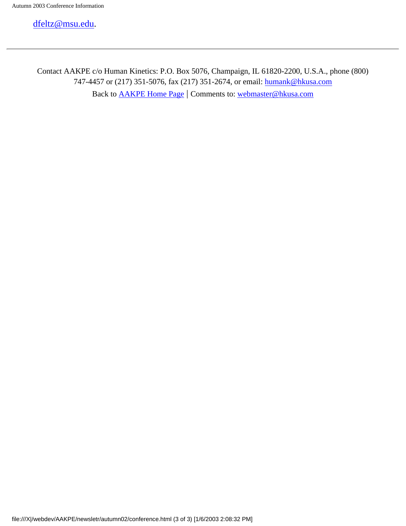[dfeltz@msu.edu.](mailto: dfeltz@msu.edu)

Contact AAKPE c/o Human Kinetics: P.O. Box 5076, Champaign, IL 61820-2200, U.S.A., phone (800) 747-4457 or (217) 351-5076, fax (217) 351-2674, or email: [humank@hkusa.com](mailto:humank@hkusa.com) Back to [AAKPE Home Page](file:///X|/webdev/AAKPE/index.html) | Comments to: [webmaster@hkusa.com](mailto:webmaster@hkusa.com)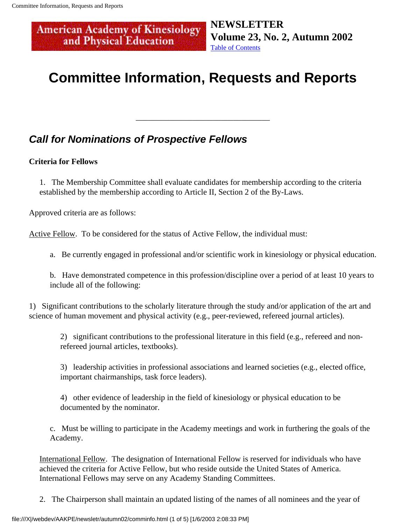<span id="page-40-0"></span>**American Academy of Kinesiology<br>and Physical Education** 

**NEWSLETTER Volume 23, No. 2, Autumn 2002** [Table of Contents](#page-0-0)

## **Committee Information, Requests and Reports**

\_\_\_\_\_\_\_\_\_\_\_\_\_\_\_\_\_\_\_\_\_\_\_\_\_\_\_\_\_\_\_\_\_

### **Call for Nominations of Prospective Fellows**

#### **Criteria for Fellows**

1. The Membership Committee shall evaluate candidates for membership according to the criteria established by the membership according to Article II, Section 2 of the By-Laws.

Approved criteria are as follows:

Active Fellow. To be considered for the status of Active Fellow, the individual must:

a. Be currently engaged in professional and/or scientific work in kinesiology or physical education.

b. Have demonstrated competence in this profession/discipline over a period of at least 10 years to include all of the following:

1) Significant contributions to the scholarly literature through the study and/or application of the art and science of human movement and physical activity (e.g., peer-reviewed, refereed journal articles).

2) significant contributions to the professional literature in this field (e.g., refereed and nonrefereed journal articles, textbooks).

3) leadership activities in professional associations and learned societies (e.g., elected office, important chairmanships, task force leaders).

4) other evidence of leadership in the field of kinesiology or physical education to be documented by the nominator.

c. Must be willing to participate in the Academy meetings and work in furthering the goals of the Academy.

International Fellow. The designation of International Fellow is reserved for individuals who have achieved the criteria for Active Fellow, but who reside outside the United States of America. International Fellows may serve on any Academy Standing Committees.

2. The Chairperson shall maintain an updated listing of the names of all nominees and the year of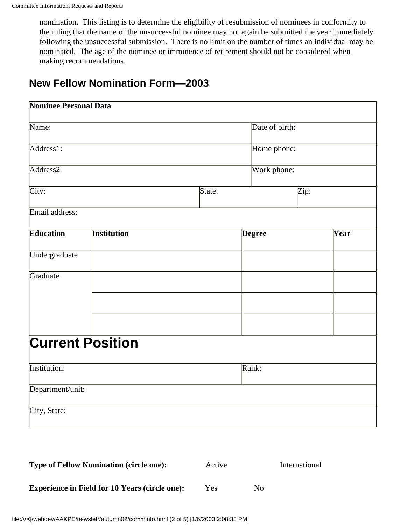nomination. This listing is to determine the eligibility of resubmission of nominees in conformity to the ruling that the name of the unsuccessful nominee may not again be submitted the year immediately following the unsuccessful submission. There is no limit on the number of times an individual may be nominated. The age of the nominee or imminence of retirement should not be considered when making recommendations.

### **New Fellow Nomination Form—2003**

| <b>Nominee Personal Data</b> |                         |                |               |      |  |
|------------------------------|-------------------------|----------------|---------------|------|--|
| Name:                        |                         | Date of birth: |               |      |  |
| Address1:                    |                         |                | Home phone:   |      |  |
| Address <sub>2</sub>         |                         |                | Work phone:   |      |  |
| City:                        |                         | State:         |               | Zip: |  |
| Email address:               |                         |                |               |      |  |
| <b>Education</b>             | <b>Institution</b>      |                | <b>Degree</b> | Year |  |
| Undergraduate                |                         |                |               |      |  |
| Graduate                     |                         |                |               |      |  |
|                              |                         |                |               |      |  |
|                              |                         |                |               |      |  |
|                              | <b>Current Position</b> |                |               |      |  |
| Institution:                 |                         |                | Rank:         |      |  |
| Department/unit:             |                         |                |               |      |  |
| City, State:                 |                         |                |               |      |  |
|                              |                         |                |               |      |  |

| <b>Type of Fellow Nomination (circle one):</b>        | Active |     | International |
|-------------------------------------------------------|--------|-----|---------------|
| <b>Experience in Field for 10 Years (circle one):</b> | Yes    | No. |               |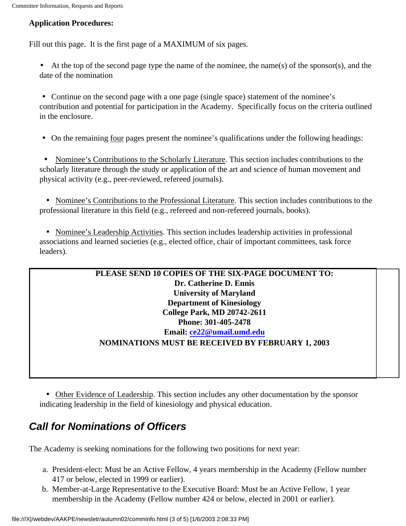#### **Application Procedures:**

Fill out this page. It is the first page of a MAXIMUM of six pages.

• At the top of the second page type the name of the nominee, the name(s) of the sponsor(s), and the date of the nomination

• Continue on the second page with a one page (single space) statement of the nominee's contribution and potential for participation in the Academy. Specifically focus on the criteria outlined in the enclosure.

• On the remaining four pages present the nominee's qualifications under the following headings:

• Nominee's Contributions to the Scholarly Literature. This section includes contributions to the scholarly literature through the study or application of the art and science of human movement and physical activity (e.g., peer-reviewed, refereed journals).

 • Nominee's Contributions to the Professional Literature. This section includes contributions to the professional literature in this field (e.g., refereed and non-refereed journals, books).

 • Nominee's Leadership Activities. This section includes leadership activities in professional associations and learned societies (e.g., elected office, chair of important committees, task force leaders).

#### **PLEASE SEND 10 COPIES OF THE SIX-PAGE DOCUMENT TO: Dr. Catherine D. Ennis University of Maryland Department of Kinesiology College Park, MD 20742-2611 Phone: 301-405-2478 Email: [ce22@umail.umd.edu](mailto:ce22@umail.umd.edu) NOMINATIONS MUST BE RECEIVED BY FEBRUARY 1, 2003**

 • Other Evidence of Leadership. This section includes any other documentation by the sponsor indicating leadership in the field of kinesiology and physical education.

### **Call for Nominations of Officers**

The Academy is seeking nominations for the following two positions for next year:

- a. President-elect: Must be an Active Fellow, 4 years membership in the Academy (Fellow number 417 or below, elected in 1999 or earlier).
- b. Member-at-Large Representative to the Executive Board: Must be an Active Fellow, 1 year membership in the Academy (Fellow number 424 or below, elected in 2001 or earlier).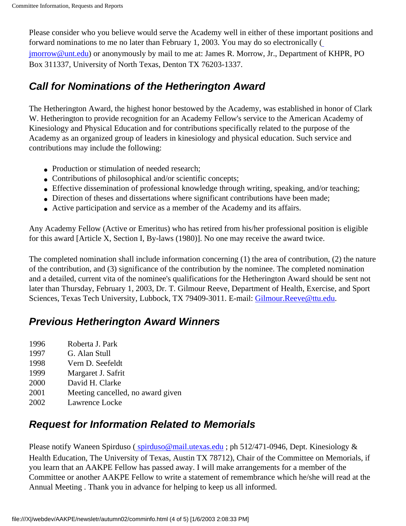Please consider who you believe would serve the Academy well in either of these important positions and forward nominations to me no later than February 1, 2003. You may do so electronically ( [jmorrow@unt.edu\)](mailto:jmorrow@unt.edu) or anonymously by mail to me at: James R. Morrow, Jr., Department of KHPR, PO Box 311337, University of North Texas, Denton TX 76203-1337.

### **Call for Nominations of the Hetherington Award**

The Hetherington Award, the highest honor bestowed by the Academy, was established in honor of Clark W. Hetherington to provide recognition for an Academy Fellow's service to the American Academy of Kinesiology and Physical Education and for contributions specifically related to the purpose of the Academy as an organized group of leaders in kinesiology and physical education. Such service and contributions may include the following:

- Production or stimulation of needed research:
- Contributions of philosophical and/or scientific concepts;
- Effective dissemination of professional knowledge through writing, speaking, and/or teaching;
- Direction of theses and dissertations where significant contributions have been made;
- Active participation and service as a member of the Academy and its affairs.

Any Academy Fellow (Active or Emeritus) who has retired from his/her professional position is eligible for this award [Article X, Section I, By-laws (1980)]. No one may receive the award twice.

The completed nomination shall include information concerning (1) the area of contribution, (2) the nature of the contribution, and (3) significance of the contribution by the nominee. The completed nomination and a detailed, current vita of the nominee's qualifications for the Hetherington Award should be sent not later than Thursday, February 1, 2003, Dr. T. Gilmour Reeve, Department of Health, Exercise, and Sport Sciences, Texas Tech University, Lubbock, TX 79409-3011. E-mail: [Gilmour.Reeve@ttu.edu](mailto:Gilmour.Reeve@ttu.edu).

### **Previous Hetherington Award Winners**

- 1996 Roberta J. Park
- 1997 G. Alan Stull
- 1998 Vern D. Seefeldt
- 1999 Margaret J. Safrit
- 2000 David H. Clarke
- 2001 Meeting cancelled, no award given
- 2002 Lawrence Locke

### **Request for Information Related to Memorials**

Please notify Waneen Spirduso (spirduso@mail.utexas.edu ; ph 512/471-0946, Dept. Kinesiology & Health Education, The University of Texas, Austin TX 78712), Chair of the Committee on Memorials, if you learn that an AAKPE Fellow has passed away. I will make arrangements for a member of the Committee or another AAKPE Fellow to write a statement of remembrance which he/she will read at the Annual Meeting . Thank you in advance for helping to keep us all informed.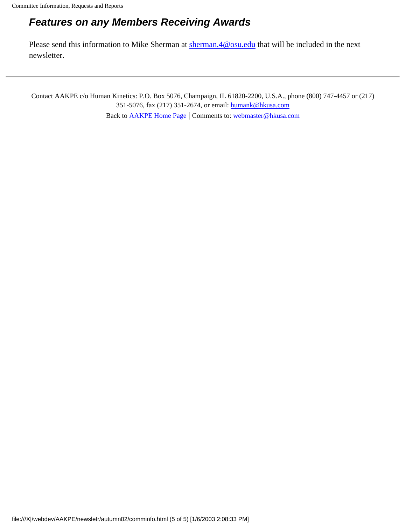### **Features on any Members Receiving Awards**

Please send this information to Mike Sherman at [sherman.4@osu.edu](mailto:sherman.4@osu.edu) that will be included in the next newsletter.

Contact AAKPE c/o Human Kinetics: P.O. Box 5076, Champaign, IL 61820-2200, U.S.A., phone (800) 747-4457 or (217) 351-5076, fax (217) 351-2674, or email: [humank@hkusa.com](mailto:humank@hkusa.com) Back to [AAKPE Home Page](file:///X|/webdev/AAKPE/index.html) | Comments to: [webmaster@hkusa.com](mailto:webmaster@hkusa.com)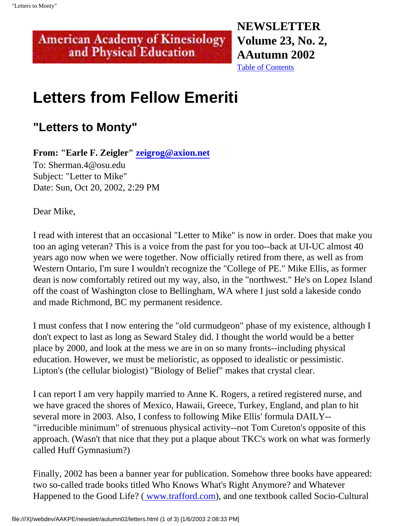**NEWSLETTER Volume 23, No. 2, AAutumn 2002** [Table of Contents](#page-0-0)

## **Letters from Fellow Emeriti**

<span id="page-45-0"></span>**American Academy of Kinesiology** and Physical Education

## **"Letters to Monty"**

**From: "Earle F. Zeigler" [zeigrog@axion.net](file:///X|/webdev/AAKPE/newsletr/autumn02/zeigrog@axion.net)**

To: Sherman.4@osu.edu Subject: "Letter to Mike" Date: Sun, Oct 20, 2002, 2:29 PM

Dear Mike,

I read with interest that an occasional "Letter to Mike" is now in order. Does that make you too an aging veteran? This is a voice from the past for you too--back at UI-UC almost 40 years ago now when we were together. Now officially retired from there, as well as from Western Ontario, I'm sure I wouldn't recognize the "College of PE." Mike Ellis, as former dean is now comfortably retired out my way, also, in the "northwest." He's on Lopez Island off the coast of Washington close to Bellingham, WA where I just sold a lakeside condo and made Richmond, BC my permanent residence.

I must confess that I now entering the "old curmudgeon" phase of my existence, although I don't expect to last as long as Seward Staley did. I thought the world would be a better place by 2000, and look at the mess we are in on so many fronts--including physical education. However, we must be melioristic, as opposed to idealistic or pessimistic. Lipton's (the cellular biologist) "Biology of Belief" makes that crystal clear.

I can report I am very happily married to Anne K. Rogers, a retired registered nurse, and we have graced the shores of Mexico, Hawaii, Greece, Turkey, England, and plan to hit several more in 2003. Also, I confess to following Mike Ellis' formula DAILY-- "irreducible minimum" of strenuous physical activity--not Tom Cureton's opposite of this approach. (Wasn't that nice that they put a plaque about TKC's work on what was formerly called Huff Gymnasium?)

Finally, 2002 has been a banner year for publication. Somehow three books have appeared: two so-called trade books titled Who Knows What's Right Anymore? and Whatever Happened to the Good Life? ( [www.trafford.com](http://www.trafford.com/)), and one textbook called Socio-Cultural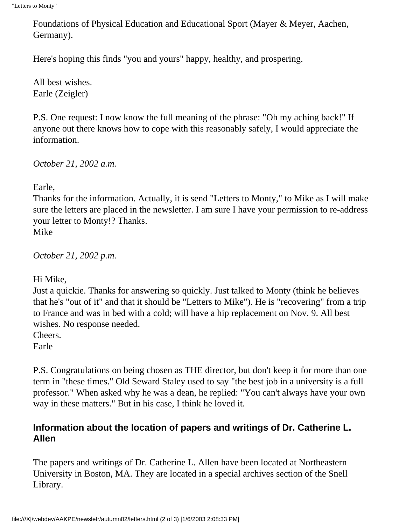Foundations of Physical Education and Educational Sport (Mayer & Meyer, Aachen, Germany).

Here's hoping this finds "you and yours" happy, healthy, and prospering.

All best wishes. Earle (Zeigler)

P.S. One request: I now know the full meaning of the phrase: "Oh my aching back!" If anyone out there knows how to cope with this reasonably safely, I would appreciate the information.

*October 21, 2002 a.m.*

Earle,

Thanks for the information. Actually, it is send "Letters to Monty," to Mike as I will make sure the letters are placed in the newsletter. I am sure I have your permission to re-address your letter to Monty!? Thanks. Mike

*October 21, 2002 p.m.*

Hi Mike,

Just a quickie. Thanks for answering so quickly. Just talked to Monty (think he believes that he's "out of it" and that it should be "Letters to Mike"). He is "recovering" from a trip to France and was in bed with a cold; will have a hip replacement on Nov. 9. All best wishes. No response needed.

Cheers.

Earle

P.S. Congratulations on being chosen as THE director, but don't keep it for more than one term in "these times." Old Seward Staley used to say "the best job in a university is a full professor." When asked why he was a dean, he replied: "You can't always have your own way in these matters." But in his case, I think he loved it.

#### **Information about the location of papers and writings of Dr. Catherine L. Allen**

The papers and writings of Dr. Catherine L. Allen have been located at Northeastern University in Boston, MA. They are located in a special archives section of the Snell Library.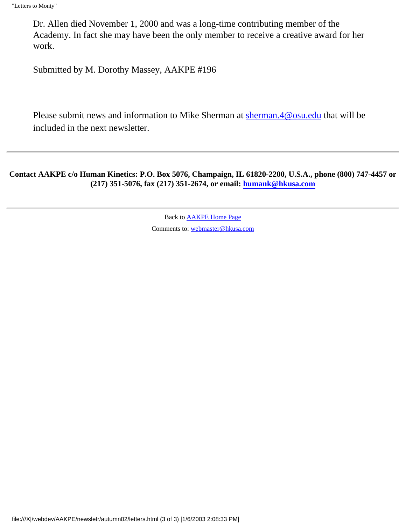Dr. Allen died November 1, 2000 and was a long-time contributing member of the Academy. In fact she may have been the only member to receive a creative award for her work.

Submitted by M. Dorothy Massey, AAKPE #196

Please submit news and information to Mike Sherman at [sherman.4@osu.edu](mailto:sherman.4@osu.edu) that will be included in the next newsletter.

**Contact AAKPE c/o Human Kinetics: P.O. Box 5076, Champaign, IL 61820-2200, U.S.A., phone (800) 747-4457 or (217) 351-5076, fax (217) 351-2674, or email: [humank@hkusa.com](mailto:humank@hkusa.com)**

> Back to [AAKPE Home Page](file:///X|/webdev/AAKPE/index.html) Comments to: [webmaster@hkusa.com](mailto:webmaster@hkusa.com)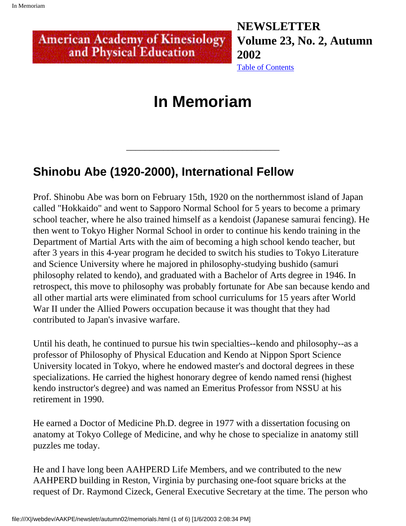#### <span id="page-48-0"></span>**NEWSLETTER American Academy of Kinesiology Volume 23, No. 2, Autumn**  and Physical Education **2002**

[Table of Contents](#page-0-0)

## **In Memoriam**

\_\_\_\_\_\_\_\_\_\_\_\_\_\_\_\_\_\_\_\_\_\_\_\_\_\_\_\_\_\_\_\_\_

## **Shinobu Abe (1920-2000), International Fellow**

Prof. Shinobu Abe was born on February 15th, 1920 on the northernmost island of Japan called "Hokkaido" and went to Sapporo Normal School for 5 years to become a primary school teacher, where he also trained himself as a kendoist (Japanese samurai fencing). He then went to Tokyo Higher Normal School in order to continue his kendo training in the Department of Martial Arts with the aim of becoming a high school kendo teacher, but after 3 years in this 4-year program he decided to switch his studies to Tokyo Literature and Science University where he majored in philosophy-studying bushido (samuri philosophy related to kendo), and graduated with a Bachelor of Arts degree in 1946. In retrospect, this move to philosophy was probably fortunate for Abe san because kendo and all other martial arts were eliminated from school curriculums for 15 years after World War II under the Allied Powers occupation because it was thought that they had contributed to Japan's invasive warfare.

Until his death, he continued to pursue his twin specialties--kendo and philosophy--as a professor of Philosophy of Physical Education and Kendo at Nippon Sport Science University located in Tokyo, where he endowed master's and doctoral degrees in these specializations. He carried the highest honorary degree of kendo named rensi (highest kendo instructor's degree) and was named an Emeritus Professor from NSSU at his retirement in 1990.

He earned a Doctor of Medicine Ph.D. degree in 1977 with a dissertation focusing on anatomy at Tokyo College of Medicine, and why he chose to specialize in anatomy still puzzles me today.

He and I have long been AAHPERD Life Members, and we contributed to the new AAHPERD building in Reston, Virginia by purchasing one-foot square bricks at the request of Dr. Raymond Cizeck, General Executive Secretary at the time. The person who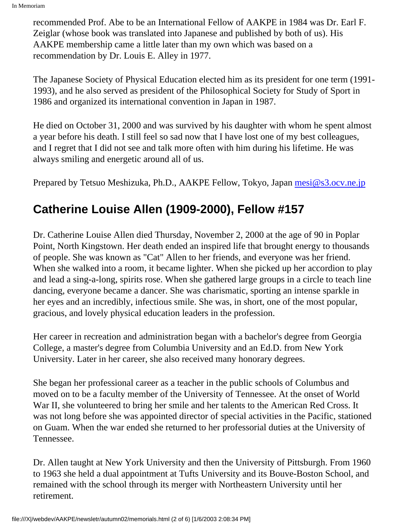recommended Prof. Abe to be an International Fellow of AAKPE in 1984 was Dr. Earl F. Zeiglar (whose book was translated into Japanese and published by both of us). His AAKPE membership came a little later than my own which was based on a recommendation by Dr. Louis E. Alley in 1977.

The Japanese Society of Physical Education elected him as its president for one term (1991- 1993), and he also served as president of the Philosophical Society for Study of Sport in 1986 and organized its international convention in Japan in 1987.

He died on October 31, 2000 and was survived by his daughter with whom he spent almost a year before his death. I still feel so sad now that I have lost one of my best colleagues, and I regret that I did not see and talk more often with him during his lifetime. He was always smiling and energetic around all of us.

Prepared by Tetsuo Meshizuka, Ph.D., AAKPE Fellow, Tokyo, Japan [mesi@s3.ocv.ne.jp](mailto:mesi@s3.ocv.ne.jp)

## **Catherine Louise Allen (1909-2000), Fellow #157**

Dr. Catherine Louise Allen died Thursday, November 2, 2000 at the age of 90 in Poplar Point, North Kingstown. Her death ended an inspired life that brought energy to thousands of people. She was known as "Cat" Allen to her friends, and everyone was her friend. When she walked into a room, it became lighter. When she picked up her accordion to play and lead a sing-a-long, spirits rose. When she gathered large groups in a circle to teach line dancing, everyone became a dancer. She was charismatic, sporting an intense sparkle in her eyes and an incredibly, infectious smile. She was, in short, one of the most popular, gracious, and lovely physical education leaders in the profession.

Her career in recreation and administration began with a bachelor's degree from Georgia College, a master's degree from Columbia University and an Ed.D. from New York University. Later in her career, she also received many honorary degrees.

She began her professional career as a teacher in the public schools of Columbus and moved on to be a faculty member of the University of Tennessee. At the onset of World War II, she volunteered to bring her smile and her talents to the American Red Cross. It was not long before she was appointed director of special activities in the Pacific, stationed on Guam. When the war ended she returned to her professorial duties at the University of Tennessee.

Dr. Allen taught at New York University and then the University of Pittsburgh. From 1960 to 1963 she held a dual appointment at Tufts University and its Bouve-Boston School, and remained with the school through its merger with Northeastern University until her retirement.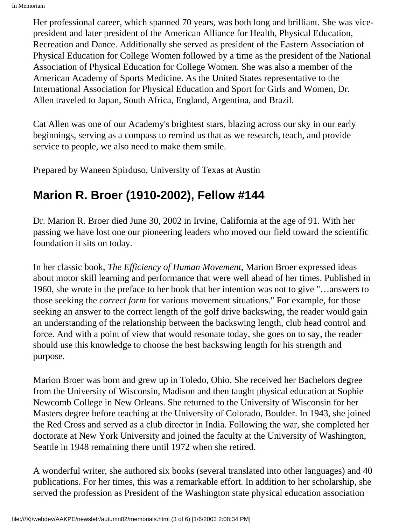Her professional career, which spanned 70 years, was both long and brilliant. She was vicepresident and later president of the American Alliance for Health, Physical Education, Recreation and Dance. Additionally she served as president of the Eastern Association of Physical Education for College Women followed by a time as the president of the National Association of Physical Education for College Women. She was also a member of the American Academy of Sports Medicine. As the United States representative to the International Association for Physical Education and Sport for Girls and Women, Dr. Allen traveled to Japan, South Africa, England, Argentina, and Brazil.

Cat Allen was one of our Academy's brightest stars, blazing across our sky in our early beginnings, serving as a compass to remind us that as we research, teach, and provide service to people, we also need to make them smile.

Prepared by Waneen Spirduso, University of Texas at Austin

## **Marion R. Broer (1910-2002), Fellow #144**

Dr. Marion R. Broer died June 30, 2002 in Irvine, California at the age of 91. With her passing we have lost one our pioneering leaders who moved our field toward the scientific foundation it sits on today.

In her classic book, *The Efficiency of Human Movement*, Marion Broer expressed ideas about motor skill learning and performance that were well ahead of her times. Published in 1960, she wrote in the preface to her book that her intention was not to give "…answers to those seeking the *correct form* for various movement situations." For example, for those seeking an answer to the correct length of the golf drive backswing, the reader would gain an understanding of the relationship between the backswing length, club head control and force. And with a point of view that would resonate today, she goes on to say, the reader should use this knowledge to choose the best backswing length for his strength and purpose.

Marion Broer was born and grew up in Toledo, Ohio. She received her Bachelors degree from the University of Wisconsin, Madison and then taught physical education at Sophie Newcomb College in New Orleans. She returned to the University of Wisconsin for her Masters degree before teaching at the University of Colorado, Boulder. In 1943, she joined the Red Cross and served as a club director in India. Following the war, she completed her doctorate at New York University and joined the faculty at the University of Washington, Seattle in 1948 remaining there until 1972 when she retired.

A wonderful writer, she authored six books (several translated into other languages) and 40 publications. For her times, this was a remarkable effort. In addition to her scholarship, she served the profession as President of the Washington state physical education association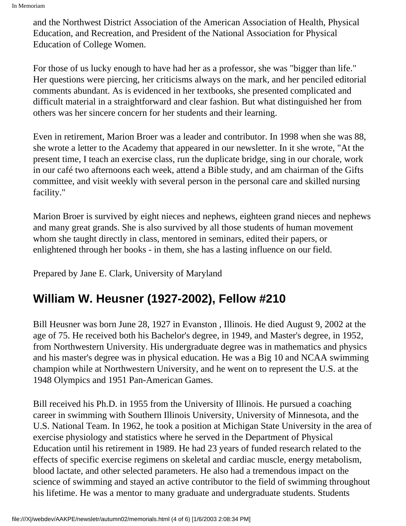and the Northwest District Association of the American Association of Health, Physical Education, and Recreation, and President of the National Association for Physical Education of College Women.

For those of us lucky enough to have had her as a professor, she was "bigger than life." Her questions were piercing, her criticisms always on the mark, and her penciled editorial comments abundant. As is evidenced in her textbooks, she presented complicated and difficult material in a straightforward and clear fashion. But what distinguished her from others was her sincere concern for her students and their learning.

Even in retirement, Marion Broer was a leader and contributor. In 1998 when she was 88, she wrote a letter to the Academy that appeared in our newsletter. In it she wrote, "At the present time, I teach an exercise class, run the duplicate bridge, sing in our chorale, work in our café two afternoons each week, attend a Bible study, and am chairman of the Gifts committee, and visit weekly with several person in the personal care and skilled nursing facility."

Marion Broer is survived by eight nieces and nephews, eighteen grand nieces and nephews and many great grands. She is also survived by all those students of human movement whom she taught directly in class, mentored in seminars, edited their papers, or enlightened through her books - in them, she has a lasting influence on our field.

Prepared by Jane E. Clark, University of Maryland

## **William W. Heusner (1927-2002), Fellow #210**

Bill Heusner was born June 28, 1927 in Evanston , Illinois. He died August 9, 2002 at the age of 75. He received both his Bachelor's degree, in 1949, and Master's degree, in 1952, from Northwestern University. His undergraduate degree was in mathematics and physics and his master's degree was in physical education. He was a Big 10 and NCAA swimming champion while at Northwestern University, and he went on to represent the U.S. at the 1948 Olympics and 1951 Pan-American Games.

Bill received his Ph.D. in 1955 from the University of Illinois. He pursued a coaching career in swimming with Southern Illinois University, University of Minnesota, and the U.S. National Team. In 1962, he took a position at Michigan State University in the area of exercise physiology and statistics where he served in the Department of Physical Education until his retirement in 1989. He had 23 years of funded research related to the effects of specific exercise regimens on skeletal and cardiac muscle, energy metabolism, blood lactate, and other selected parameters. He also had a tremendous impact on the science of swimming and stayed an active contributor to the field of swimming throughout his lifetime. He was a mentor to many graduate and undergraduate students. Students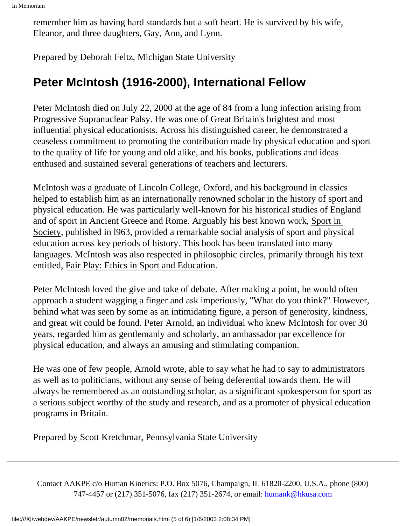remember him as having hard standards but a soft heart. He is survived by his wife, Eleanor, and three daughters, Gay, Ann, and Lynn.

Prepared by Deborah Feltz, Michigan State University

## **Peter McIntosh (1916-2000), International Fellow**

Peter McIntosh died on July 22, 2000 at the age of 84 from a lung infection arising from Progressive Supranuclear Palsy. He was one of Great Britain's brightest and most influential physical educationists. Across his distinguished career, he demonstrated a ceaseless commitment to promoting the contribution made by physical education and sport to the quality of life for young and old alike, and his books, publications and ideas enthused and sustained several generations of teachers and lecturers.

McIntosh was a graduate of Lincoln College, Oxford, and his background in classics helped to establish him as an internationally renowned scholar in the history of sport and physical education. He was particularly well-known for his historical studies of England and of sport in Ancient Greece and Rome. Arguably his best known work, Sport in Society, published in l963, provided a remarkable social analysis of sport and physical education across key periods of history. This book has been translated into many languages. McIntosh was also respected in philosophic circles, primarily through his text entitled, Fair Play: Ethics in Sport and Education.

Peter McIntosh loved the give and take of debate. After making a point, he would often approach a student wagging a finger and ask imperiously, "What do you think?" However, behind what was seen by some as an intimidating figure, a person of generosity, kindness, and great wit could be found. Peter Arnold, an individual who knew McIntosh for over 30 years, regarded him as gentlemanly and scholarly, an ambassador par excellence for physical education, and always an amusing and stimulating companion.

He was one of few people, Arnold wrote, able to say what he had to say to administrators as well as to politicians, without any sense of being deferential towards them. He will always be remembered as an outstanding scholar, as a significant spokesperson for sport as a serious subject worthy of the study and research, and as a promoter of physical education programs in Britain.

Prepared by Scott Kretchmar, Pennsylvania State University

Contact AAKPE c/o Human Kinetics: P.O. Box 5076, Champaign, IL 61820-2200, U.S.A., phone (800) 747-4457 or (217) 351-5076, fax (217) 351-2674, or email: [humank@hkusa.com](mailto:humank@hkusa.com)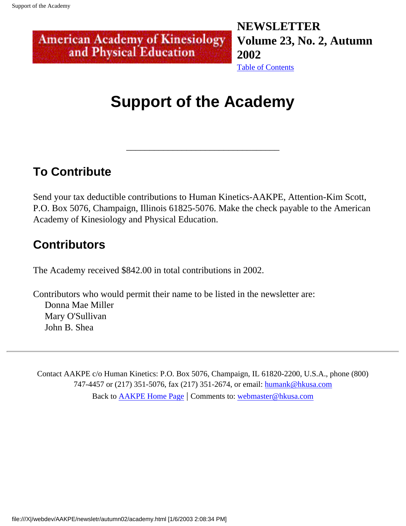#### <span id="page-53-0"></span>**NEWSLETTER American Academy of Kinesiology Volume 23, No. 2, Autumn**  and Physical Education **2002** [Table of Contents](#page-0-0)

## **Support of the Academy**

\_\_\_\_\_\_\_\_\_\_\_\_\_\_\_\_\_\_\_\_\_\_\_\_\_\_\_\_\_\_\_\_\_

## **To Contribute**

Send your tax deductible contributions to Human Kinetics-AAKPE, Attention-Kim Scott, P.O. Box 5076, Champaign, Illinois 61825-5076. Make the check payable to the American Academy of Kinesiology and Physical Education.

## **Contributors**

The Academy received \$842.00 in total contributions in 2002.

Contributors who would permit their name to be listed in the newsletter are: Donna Mae Miller Mary O'Sullivan John B. Shea

Contact AAKPE c/o Human Kinetics: P.O. Box 5076, Champaign, IL 61820-2200, U.S.A., phone (800) 747-4457 or (217) 351-5076, fax (217) 351-2674, or email: [humank@hkusa.com](mailto:humank@hkusa.com) Back to [AAKPE Home Page](file:///X|/webdev/AAKPE/index.html) | Comments to: [webmaster@hkusa.com](mailto:webmaster@hkusa.com)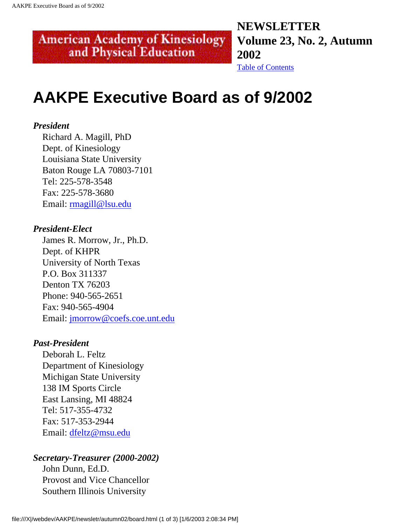## **NEWSLETTER Volume 23, No. 2, Autumn 2002**

[Table of Contents](#page-0-0)

## **AAKPE Executive Board as of 9/2002**

<span id="page-54-0"></span>**American Academy of Kinesiology** and Physical Education

#### *President*

 Richard A. Magill, PhD Dept. of Kinesiology Louisiana State University Baton Rouge LA 70803-7101 Tel: 225-578-3548 Fax: 225-578-3680 Email: [rmagill@lsu.edu](mailto:rmagill@lsu.edu)

#### *President-Elect*

 James R. Morrow, Jr., Ph.D. Dept. of KHPR University of North Texas P.O. Box 311337 Denton TX 76203 Phone: 940-565-2651 Fax: 940-565-4904 Email: [jmorrow@coefs.coe.unt.edu](mailto:jmorrow@coefs.coe.unt.edu)

#### *Past-President*

 Deborah L. Feltz Department of Kinesiology Michigan State University 138 IM Sports Circle East Lansing, MI 48824 Tel: 517-355-4732 Fax: 517-353-2944 Email: [dfeltz@msu.edu](mailto:dfeltz@msu.edu)

#### *Secretary-Treasurer (2000-2002)*

 John Dunn, Ed.D. Provost and Vice Chancellor Southern Illinois University